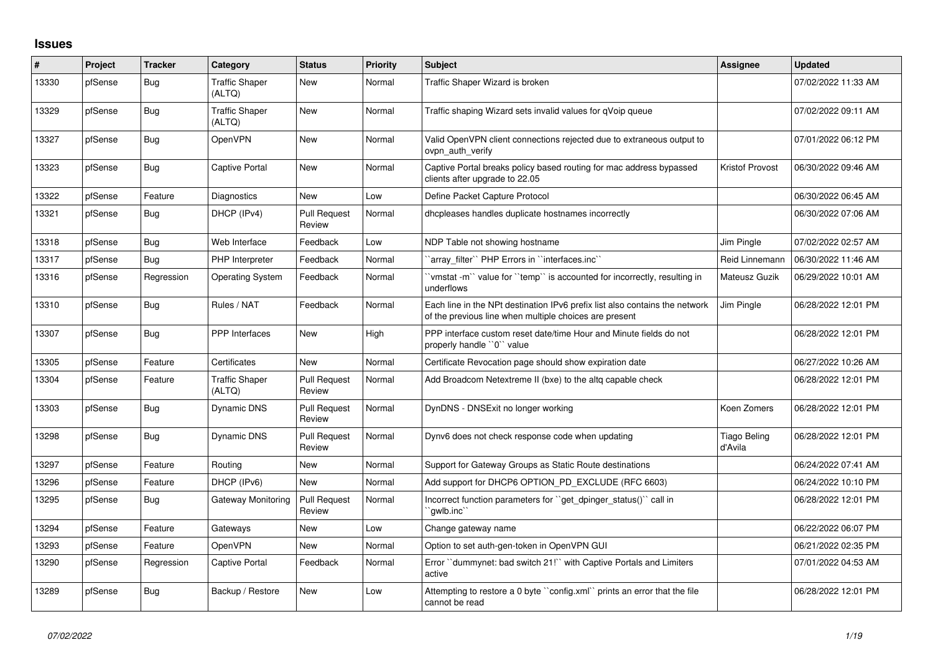## **Issues**

| $\#$  | Project | <b>Tracker</b> | Category                        | <b>Status</b>                 | <b>Priority</b> | <b>Subject</b>                                                                                                                        | Assignee                       | <b>Updated</b>      |
|-------|---------|----------------|---------------------------------|-------------------------------|-----------------|---------------------------------------------------------------------------------------------------------------------------------------|--------------------------------|---------------------|
| 13330 | pfSense | Bug            | <b>Traffic Shaper</b><br>(ALTQ) | <b>New</b>                    | Normal          | Traffic Shaper Wizard is broken                                                                                                       |                                | 07/02/2022 11:33 AM |
| 13329 | pfSense | Bug            | <b>Traffic Shaper</b><br>(ALTQ) | <b>New</b>                    | Normal          | Traffic shaping Wizard sets invalid values for qVoip queue                                                                            |                                | 07/02/2022 09:11 AM |
| 13327 | pfSense | Bug            | <b>OpenVPN</b>                  | <b>New</b>                    | Normal          | Valid OpenVPN client connections rejected due to extraneous output to<br>ovpn auth verify                                             |                                | 07/01/2022 06:12 PM |
| 13323 | pfSense | Bug            | Captive Portal                  | New                           | Normal          | Captive Portal breaks policy based routing for mac address bypassed<br>clients after upgrade to 22.05                                 | <b>Kristof Provost</b>         | 06/30/2022 09:46 AM |
| 13322 | pfSense | Feature        | Diagnostics                     | New                           | Low             | Define Packet Capture Protocol                                                                                                        |                                | 06/30/2022 06:45 AM |
| 13321 | pfSense | Bug            | DHCP (IPv4)                     | <b>Pull Request</b><br>Review | Normal          | dhcpleases handles duplicate hostnames incorrectly                                                                                    |                                | 06/30/2022 07:06 AM |
| 13318 | pfSense | Bug            | Web Interface                   | Feedback                      | Low             | NDP Table not showing hostname                                                                                                        | Jim Pingle                     | 07/02/2022 02:57 AM |
| 13317 | pfSense | <b>Bug</b>     | PHP Interpreter                 | Feedback                      | Normal          | `array filter`` PHP Errors in ``interfaces.inc``                                                                                      | Reid Linnemann                 | 06/30/2022 11:46 AM |
| 13316 | pfSense | Regression     | <b>Operating System</b>         | Feedback                      | Normal          | 'vmstat -m'' value for ''temp'' is accounted for incorrectly, resulting in<br>underflows                                              | Mateusz Guzik                  | 06/29/2022 10:01 AM |
| 13310 | pfSense | <b>Bug</b>     | Rules / NAT                     | Feedback                      | Normal          | Each line in the NPt destination IPv6 prefix list also contains the network<br>of the previous line when multiple choices are present | Jim Pingle                     | 06/28/2022 12:01 PM |
| 13307 | pfSense | Bug            | PPP Interfaces                  | New                           | High            | PPP interface custom reset date/time Hour and Minute fields do not<br>properly handle "0" value                                       |                                | 06/28/2022 12:01 PM |
| 13305 | pfSense | Feature        | Certificates                    | <b>New</b>                    | Normal          | Certificate Revocation page should show expiration date                                                                               |                                | 06/27/2022 10:26 AM |
| 13304 | pfSense | Feature        | <b>Traffic Shaper</b><br>(ALTQ) | <b>Pull Request</b><br>Review | Normal          | Add Broadcom Netextreme II (bxe) to the altg capable check                                                                            |                                | 06/28/2022 12:01 PM |
| 13303 | pfSense | <b>Bug</b>     | <b>Dynamic DNS</b>              | Pull Request<br>Review        | Normal          | DynDNS - DNSExit no longer working                                                                                                    | Koen Zomers                    | 06/28/2022 12:01 PM |
| 13298 | pfSense | <b>Bug</b>     | <b>Dynamic DNS</b>              | <b>Pull Request</b><br>Review | Normal          | Dynv6 does not check response code when updating                                                                                      | <b>Tiago Beling</b><br>d'Avila | 06/28/2022 12:01 PM |
| 13297 | pfSense | Feature        | Routing                         | New                           | Normal          | Support for Gateway Groups as Static Route destinations                                                                               |                                | 06/24/2022 07:41 AM |
| 13296 | pfSense | Feature        | DHCP (IPv6)                     | <b>New</b>                    | Normal          | Add support for DHCP6 OPTION_PD_EXCLUDE (RFC 6603)                                                                                    |                                | 06/24/2022 10:10 PM |
| 13295 | pfSense | Bug            | Gateway Monitoring              | <b>Pull Request</b><br>Review | Normal          | Incorrect function parameters for "get dpinger status()" call in<br>`gwlb.inc``                                                       |                                | 06/28/2022 12:01 PM |
| 13294 | pfSense | Feature        | Gateways                        | New                           | Low             | Change gateway name                                                                                                                   |                                | 06/22/2022 06:07 PM |
| 13293 | pfSense | Feature        | <b>OpenVPN</b>                  | New                           | Normal          | Option to set auth-gen-token in OpenVPN GUI                                                                                           |                                | 06/21/2022 02:35 PM |
| 13290 | pfSense | Regression     | Captive Portal                  | Feedback                      | Normal          | Error "dummynet: bad switch 21!" with Captive Portals and Limiters<br>active                                                          |                                | 07/01/2022 04:53 AM |
| 13289 | pfSense | Bug            | Backup / Restore                | <b>New</b>                    | Low             | Attempting to restore a 0 byte "config.xml" prints an error that the file<br>cannot be read                                           |                                | 06/28/2022 12:01 PM |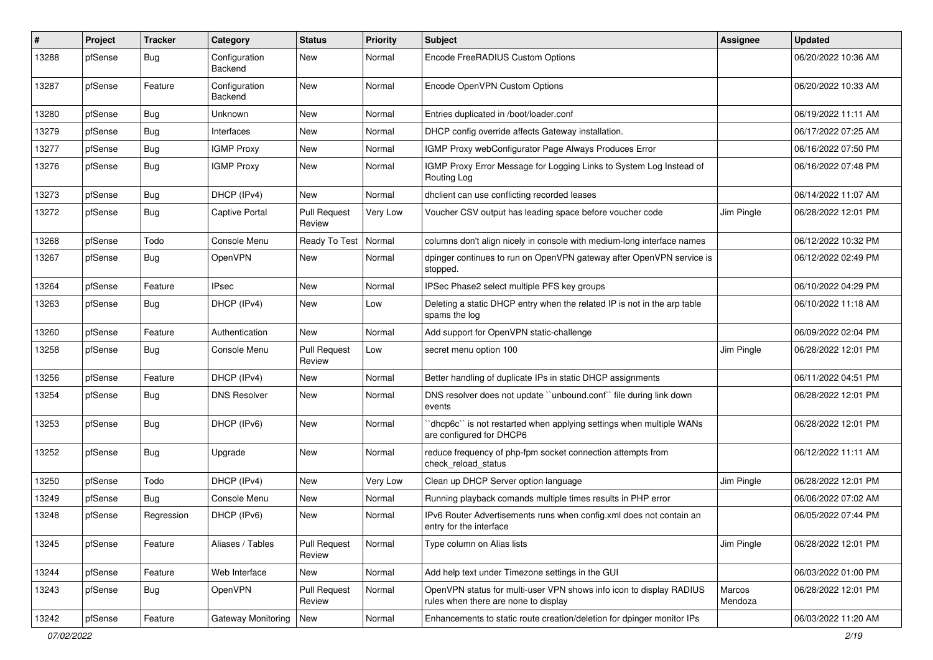| ∦     | Project | <b>Tracker</b> | Category                 | <b>Status</b>                 | <b>Priority</b> | <b>Subject</b>                                                                                              | Assignee          | <b>Updated</b>      |
|-------|---------|----------------|--------------------------|-------------------------------|-----------------|-------------------------------------------------------------------------------------------------------------|-------------------|---------------------|
| 13288 | pfSense | Bug            | Configuration<br>Backend | <b>New</b>                    | Normal          | Encode FreeRADIUS Custom Options                                                                            |                   | 06/20/2022 10:36 AM |
| 13287 | pfSense | Feature        | Configuration<br>Backend | <b>New</b>                    | Normal          | Encode OpenVPN Custom Options                                                                               |                   | 06/20/2022 10:33 AM |
| 13280 | pfSense | <b>Bug</b>     | Unknown                  | <b>New</b>                    | Normal          | Entries duplicated in /boot/loader.conf                                                                     |                   | 06/19/2022 11:11 AM |
| 13279 | pfSense | <b>Bug</b>     | Interfaces               | New                           | Normal          | DHCP config override affects Gateway installation.                                                          |                   | 06/17/2022 07:25 AM |
| 13277 | pfSense | <b>Bug</b>     | <b>IGMP Proxy</b>        | <b>New</b>                    | Normal          | IGMP Proxy webConfigurator Page Always Produces Error                                                       |                   | 06/16/2022 07:50 PM |
| 13276 | pfSense | Bug            | <b>IGMP Proxy</b>        | New                           | Normal          | IGMP Proxy Error Message for Logging Links to System Log Instead of<br>Routing Log                          |                   | 06/16/2022 07:48 PM |
| 13273 | pfSense | <b>Bug</b>     | DHCP (IPv4)              | <b>New</b>                    | Normal          | dhclient can use conflicting recorded leases                                                                |                   | 06/14/2022 11:07 AM |
| 13272 | pfSense | Bug            | Captive Portal           | <b>Pull Request</b><br>Review | Very Low        | Voucher CSV output has leading space before voucher code                                                    | Jim Pingle        | 06/28/2022 12:01 PM |
| 13268 | pfSense | Todo           | Console Menu             | Ready To Test                 | Normal          | columns don't align nicely in console with medium-long interface names                                      |                   | 06/12/2022 10:32 PM |
| 13267 | pfSense | Bug            | <b>OpenVPN</b>           | New                           | Normal          | dpinger continues to run on OpenVPN gateway after OpenVPN service is<br>stopped.                            |                   | 06/12/2022 02:49 PM |
| 13264 | pfSense | Feature        | <b>IPsec</b>             | <b>New</b>                    | Normal          | IPSec Phase2 select multiple PFS key groups                                                                 |                   | 06/10/2022 04:29 PM |
| 13263 | pfSense | Bug            | DHCP (IPv4)              | <b>New</b>                    | Low             | Deleting a static DHCP entry when the related IP is not in the arp table<br>spams the log                   |                   | 06/10/2022 11:18 AM |
| 13260 | pfSense | Feature        | Authentication           | New                           | Normal          | Add support for OpenVPN static-challenge                                                                    |                   | 06/09/2022 02:04 PM |
| 13258 | pfSense | Bug            | Console Menu             | <b>Pull Request</b><br>Review | Low             | secret menu option 100                                                                                      | Jim Pingle        | 06/28/2022 12:01 PM |
| 13256 | pfSense | Feature        | DHCP (IPv4)              | New                           | Normal          | Better handling of duplicate IPs in static DHCP assignments                                                 |                   | 06/11/2022 04:51 PM |
| 13254 | pfSense | Bug            | <b>DNS Resolver</b>      | New                           | Normal          | DNS resolver does not update "unbound.conf" file during link down<br>events                                 |                   | 06/28/2022 12:01 PM |
| 13253 | pfSense | <b>Bug</b>     | DHCP (IPv6)              | <b>New</b>                    | Normal          | 'dhcp6c'' is not restarted when applying settings when multiple WANs<br>are configured for DHCP6            |                   | 06/28/2022 12:01 PM |
| 13252 | pfSense | <b>Bug</b>     | Upgrade                  | <b>New</b>                    | Normal          | reduce frequency of php-fpm socket connection attempts from<br>check reload status                          |                   | 06/12/2022 11:11 AM |
| 13250 | pfSense | Todo           | DHCP (IPv4)              | <b>New</b>                    | Very Low        | Clean up DHCP Server option language                                                                        | Jim Pingle        | 06/28/2022 12:01 PM |
| 13249 | pfSense | Bug            | Console Menu             | New                           | Normal          | Running playback comands multiple times results in PHP error                                                |                   | 06/06/2022 07:02 AM |
| 13248 | pfSense | Regression     | DHCP (IPv6)              | New                           | Normal          | IPv6 Router Advertisements runs when config.xml does not contain an<br>entry for the interface              |                   | 06/05/2022 07:44 PM |
| 13245 | pfSense | Feature        | Aliases / Tables         | <b>Pull Request</b><br>Review | Normal          | Type column on Alias lists                                                                                  | Jim Pingle        | 06/28/2022 12:01 PM |
| 13244 | pfSense | Feature        | Web Interface            | New                           | Normal          | Add help text under Timezone settings in the GUI                                                            |                   | 06/03/2022 01:00 PM |
| 13243 | pfSense | <b>Bug</b>     | OpenVPN                  | <b>Pull Request</b><br>Review | Normal          | OpenVPN status for multi-user VPN shows info icon to display RADIUS<br>rules when there are none to display | Marcos<br>Mendoza | 06/28/2022 12:01 PM |
| 13242 | pfSense | Feature        | Gateway Monitoring       | New                           | Normal          | Enhancements to static route creation/deletion for dpinger monitor IPs                                      |                   | 06/03/2022 11:20 AM |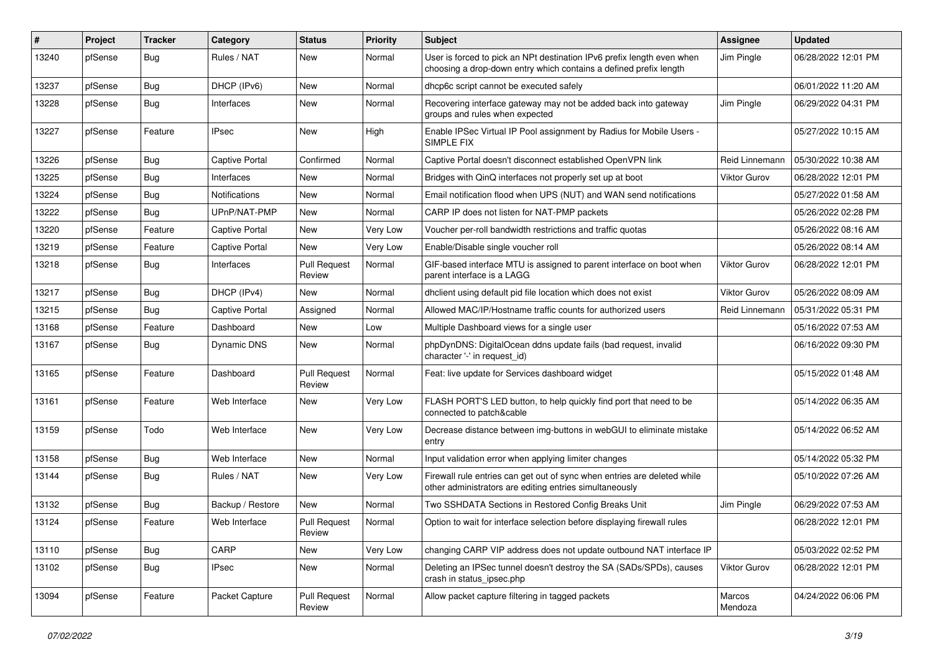| #     | Project | <b>Tracker</b> | Category         | <b>Status</b>                 | <b>Priority</b> | <b>Subject</b>                                                                                                                              | <b>Assignee</b>     | <b>Updated</b>      |
|-------|---------|----------------|------------------|-------------------------------|-----------------|---------------------------------------------------------------------------------------------------------------------------------------------|---------------------|---------------------|
| 13240 | pfSense | <b>Bug</b>     | Rules / NAT      | New                           | Normal          | User is forced to pick an NPt destination IPv6 prefix length even when<br>choosing a drop-down entry which contains a defined prefix length | Jim Pingle          | 06/28/2022 12:01 PM |
| 13237 | pfSense | Bug            | DHCP (IPv6)      | <b>New</b>                    | Normal          | dhcp6c script cannot be executed safely                                                                                                     |                     | 06/01/2022 11:20 AM |
| 13228 | pfSense | Bug            | Interfaces       | New                           | Normal          | Recovering interface gateway may not be added back into gateway<br>groups and rules when expected                                           | Jim Pingle          | 06/29/2022 04:31 PM |
| 13227 | pfSense | Feature        | <b>IPsec</b>     | <b>New</b>                    | High            | Enable IPSec Virtual IP Pool assignment by Radius for Mobile Users -<br>SIMPLE FIX                                                          |                     | 05/27/2022 10:15 AM |
| 13226 | pfSense | Bug            | Captive Portal   | Confirmed                     | Normal          | Captive Portal doesn't disconnect established OpenVPN link                                                                                  | Reid Linnemann      | 05/30/2022 10:38 AM |
| 13225 | pfSense | Bug            | Interfaces       | <b>New</b>                    | Normal          | Bridges with QinQ interfaces not properly set up at boot                                                                                    | <b>Viktor Gurov</b> | 06/28/2022 12:01 PM |
| 13224 | pfSense | Bug            | Notifications    | <b>New</b>                    | Normal          | Email notification flood when UPS (NUT) and WAN send notifications                                                                          |                     | 05/27/2022 01:58 AM |
| 13222 | pfSense | Bug            | UPnP/NAT-PMP     | New                           | Normal          | CARP IP does not listen for NAT-PMP packets                                                                                                 |                     | 05/26/2022 02:28 PM |
| 13220 | pfSense | Feature        | Captive Portal   | New                           | Very Low        | Voucher per-roll bandwidth restrictions and traffic quotas                                                                                  |                     | 05/26/2022 08:16 AM |
| 13219 | pfSense | Feature        | Captive Portal   | <b>New</b>                    | Very Low        | Enable/Disable single voucher roll                                                                                                          |                     | 05/26/2022 08:14 AM |
| 13218 | pfSense | Bug            | Interfaces       | <b>Pull Request</b><br>Review | Normal          | GIF-based interface MTU is assigned to parent interface on boot when<br>parent interface is a LAGG                                          | <b>Viktor Gurov</b> | 06/28/2022 12:01 PM |
| 13217 | pfSense | Bug            | DHCP (IPv4)      | <b>New</b>                    | Normal          | dhclient using default pid file location which does not exist                                                                               | <b>Viktor Gurov</b> | 05/26/2022 08:09 AM |
| 13215 | pfSense | <b>Bug</b>     | Captive Portal   | Assigned                      | Normal          | Allowed MAC/IP/Hostname traffic counts for authorized users                                                                                 | Reid Linnemann      | 05/31/2022 05:31 PM |
| 13168 | pfSense | Feature        | Dashboard        | <b>New</b>                    | Low             | Multiple Dashboard views for a single user                                                                                                  |                     | 05/16/2022 07:53 AM |
| 13167 | pfSense | <b>Bug</b>     | Dynamic DNS      | New                           | Normal          | phpDynDNS: DigitalOcean ddns update fails (bad request, invalid<br>character '-' in request id)                                             |                     | 06/16/2022 09:30 PM |
| 13165 | pfSense | Feature        | Dashboard        | <b>Pull Request</b><br>Review | Normal          | Feat: live update for Services dashboard widget                                                                                             |                     | 05/15/2022 01:48 AM |
| 13161 | pfSense | Feature        | Web Interface    | New                           | Very Low        | FLASH PORT'S LED button, to help quickly find port that need to be<br>connected to patch&cable                                              |                     | 05/14/2022 06:35 AM |
| 13159 | pfSense | Todo           | Web Interface    | <b>New</b>                    | Very Low        | Decrease distance between img-buttons in webGUI to eliminate mistake<br>entry                                                               |                     | 05/14/2022 06:52 AM |
| 13158 | pfSense | Bug            | Web Interface    | New                           | Normal          | Input validation error when applying limiter changes                                                                                        |                     | 05/14/2022 05:32 PM |
| 13144 | pfSense | <b>Bug</b>     | Rules / NAT      | <b>New</b>                    | Very Low        | Firewall rule entries can get out of sync when entries are deleted while<br>other administrators are editing entries simultaneously         |                     | 05/10/2022 07:26 AM |
| 13132 | pfSense | <b>Bug</b>     | Backup / Restore | <b>New</b>                    | Normal          | Two SSHDATA Sections in Restored Config Breaks Unit                                                                                         | Jim Pingle          | 06/29/2022 07:53 AM |
| 13124 | pfSense | Feature        | Web Interface    | <b>Pull Request</b><br>Review | Normal          | Option to wait for interface selection before displaying firewall rules                                                                     |                     | 06/28/2022 12:01 PM |
| 13110 | pfSense | Bug            | CARP             | New                           | Very Low        | changing CARP VIP address does not update outbound NAT interface IP                                                                         |                     | 05/03/2022 02:52 PM |
| 13102 | pfSense | <b>Bug</b>     | <b>IPsec</b>     | New                           | Normal          | Deleting an IPSec tunnel doesn't destroy the SA (SADs/SPDs), causes<br>crash in status_ipsec.php                                            | Viktor Gurov        | 06/28/2022 12:01 PM |
| 13094 | pfSense | Feature        | Packet Capture   | <b>Pull Request</b><br>Review | Normal          | Allow packet capture filtering in tagged packets                                                                                            | Marcos<br>Mendoza   | 04/24/2022 06:06 PM |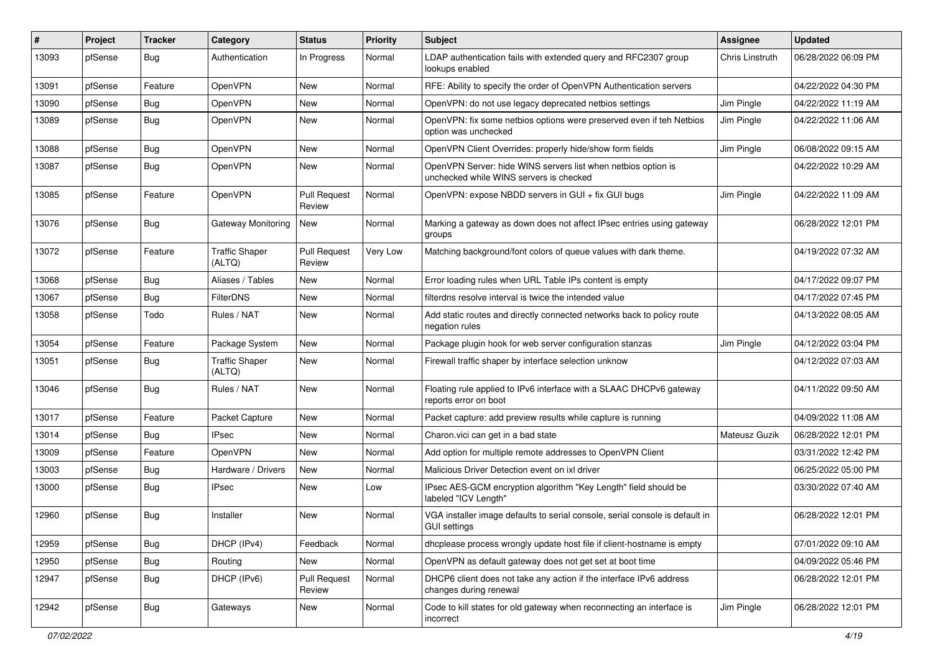| #     | Project | <b>Tracker</b> | Category                        | <b>Status</b>                 | <b>Priority</b> | <b>Subject</b>                                                                                           | <b>Assignee</b>        | <b>Updated</b>      |
|-------|---------|----------------|---------------------------------|-------------------------------|-----------------|----------------------------------------------------------------------------------------------------------|------------------------|---------------------|
| 13093 | pfSense | <b>Bug</b>     | Authentication                  | In Progress                   | Normal          | LDAP authentication fails with extended query and RFC2307 group<br>lookups enabled                       | <b>Chris Linstruth</b> | 06/28/2022 06:09 PM |
| 13091 | pfSense | Feature        | OpenVPN                         | New                           | Normal          | RFE: Ability to specify the order of OpenVPN Authentication servers                                      |                        | 04/22/2022 04:30 PM |
| 13090 | pfSense | Bug            | OpenVPN                         | <b>New</b>                    | Normal          | OpenVPN: do not use legacy deprecated netbios settings                                                   | Jim Pingle             | 04/22/2022 11:19 AM |
| 13089 | pfSense | <b>Bug</b>     | OpenVPN                         | New                           | Normal          | OpenVPN: fix some netbios options were preserved even if teh Netbios<br>option was unchecked             | Jim Pingle             | 04/22/2022 11:06 AM |
| 13088 | pfSense | Bug            | <b>OpenVPN</b>                  | New                           | Normal          | OpenVPN Client Overrides: properly hide/show form fields                                                 | Jim Pingle             | 06/08/2022 09:15 AM |
| 13087 | pfSense | Bug            | OpenVPN                         | <b>New</b>                    | Normal          | OpenVPN Server: hide WINS servers list when netbios option is<br>unchecked while WINS servers is checked |                        | 04/22/2022 10:29 AM |
| 13085 | pfSense | Feature        | OpenVPN                         | <b>Pull Request</b><br>Review | Normal          | OpenVPN: expose NBDD servers in GUI + fix GUI bugs                                                       | Jim Pingle             | 04/22/2022 11:09 AM |
| 13076 | pfSense | Bug            | <b>Gateway Monitoring</b>       | New                           | Normal          | Marking a gateway as down does not affect IPsec entries using gateway<br>groups                          |                        | 06/28/2022 12:01 PM |
| 13072 | pfSense | Feature        | <b>Traffic Shaper</b><br>(ALTQ) | <b>Pull Request</b><br>Review | Very Low        | Matching background/font colors of queue values with dark theme.                                         |                        | 04/19/2022 07:32 AM |
| 13068 | pfSense | Bug            | Aliases / Tables                | New                           | Normal          | Error loading rules when URL Table IPs content is empty                                                  |                        | 04/17/2022 09:07 PM |
| 13067 | pfSense | <b>Bug</b>     | <b>FilterDNS</b>                | New                           | Normal          | filterdns resolve interval is twice the intended value                                                   |                        | 04/17/2022 07:45 PM |
| 13058 | pfSense | Todo           | Rules / NAT                     | New                           | Normal          | Add static routes and directly connected networks back to policy route<br>negation rules                 |                        | 04/13/2022 08:05 AM |
| 13054 | pfSense | Feature        | Package System                  | New                           | Normal          | Package plugin hook for web server configuration stanzas                                                 | Jim Pingle             | 04/12/2022 03:04 PM |
| 13051 | pfSense | <b>Bug</b>     | <b>Traffic Shaper</b><br>(ALTQ) | New                           | Normal          | Firewall traffic shaper by interface selection unknow                                                    |                        | 04/12/2022 07:03 AM |
| 13046 | pfSense | Bug            | Rules / NAT                     | <b>New</b>                    | Normal          | Floating rule applied to IPv6 interface with a SLAAC DHCPv6 gateway<br>reports error on boot             |                        | 04/11/2022 09:50 AM |
| 13017 | pfSense | Feature        | Packet Capture                  | New                           | Normal          | Packet capture: add preview results while capture is running                                             |                        | 04/09/2022 11:08 AM |
| 13014 | pfSense | Bug            | IPsec                           | New                           | Normal          | Charon.vici can get in a bad state                                                                       | Mateusz Guzik          | 06/28/2022 12:01 PM |
| 13009 | pfSense | Feature        | OpenVPN                         | <b>New</b>                    | Normal          | Add option for multiple remote addresses to OpenVPN Client                                               |                        | 03/31/2022 12:42 PM |
| 13003 | pfSense | Bug            | Hardware / Drivers              | New                           | Normal          | Malicious Driver Detection event on ixl driver                                                           |                        | 06/25/2022 05:00 PM |
| 13000 | pfSense | <b>Bug</b>     | IPsec                           | New                           | Low             | IPsec AES-GCM encryption algorithm "Key Length" field should be<br>labeled "ICV Lenath"                  |                        | 03/30/2022 07:40 AM |
| 12960 | pfSense | Bug            | Installer                       | New                           | Normal          | VGA installer image defaults to serial console, serial console is default in<br><b>GUI settings</b>      |                        | 06/28/2022 12:01 PM |
| 12959 | pfSense | Bug            | DHCP (IPv4)                     | Feedback                      | Normal          | dhcplease process wrongly update host file if client-hostname is empty                                   |                        | 07/01/2022 09:10 AM |
| 12950 | pfSense | <b>Bug</b>     | Routing                         | New                           | Normal          | OpenVPN as default gateway does not get set at boot time                                                 |                        | 04/09/2022 05:46 PM |
| 12947 | pfSense | <b>Bug</b>     | DHCP (IPv6)                     | <b>Pull Request</b><br>Review | Normal          | DHCP6 client does not take any action if the interface IPv6 address<br>changes during renewal            |                        | 06/28/2022 12:01 PM |
| 12942 | pfSense | Bug            | Gateways                        | New                           | Normal          | Code to kill states for old gateway when reconnecting an interface is<br>incorrect                       | Jim Pingle             | 06/28/2022 12:01 PM |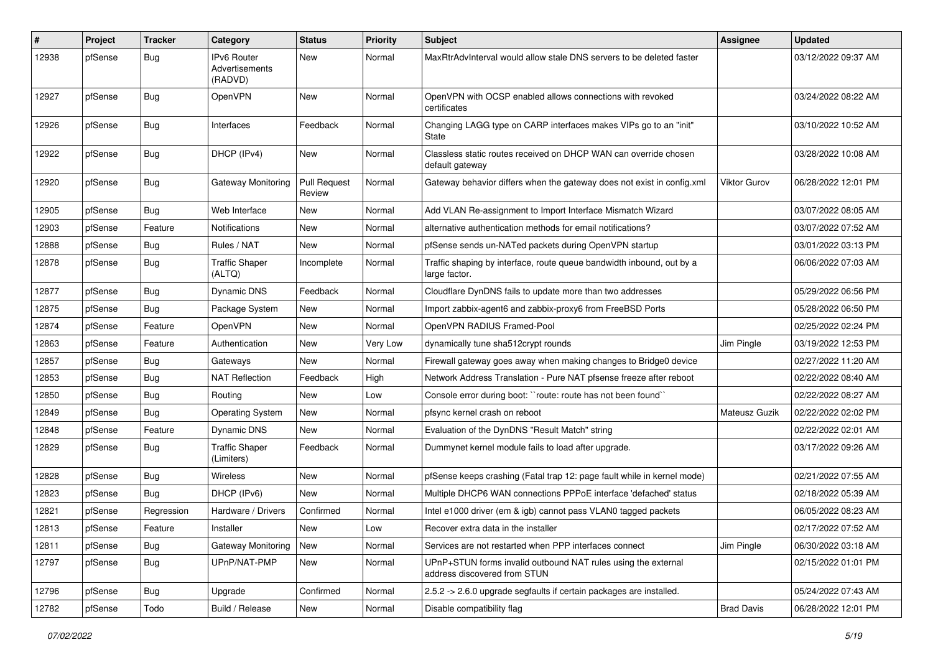| #     | Project | <b>Tracker</b> | Category                                 | <b>Status</b>                 | <b>Priority</b> | <b>Subject</b>                                                                                | Assignee            | <b>Updated</b>      |
|-------|---------|----------------|------------------------------------------|-------------------------------|-----------------|-----------------------------------------------------------------------------------------------|---------------------|---------------------|
| 12938 | pfSense | Bug            | IPv6 Router<br>Advertisements<br>(RADVD) | <b>New</b>                    | Normal          | MaxRtrAdvInterval would allow stale DNS servers to be deleted faster                          |                     | 03/12/2022 09:37 AM |
| 12927 | pfSense | <b>Bug</b>     | OpenVPN                                  | New                           | Normal          | OpenVPN with OCSP enabled allows connections with revoked<br>certificates                     |                     | 03/24/2022 08:22 AM |
| 12926 | pfSense | Bug            | Interfaces                               | Feedback                      | Normal          | Changing LAGG type on CARP interfaces makes VIPs go to an "init"<br>State                     |                     | 03/10/2022 10:52 AM |
| 12922 | pfSense | Bug            | DHCP (IPv4)                              | <b>New</b>                    | Normal          | Classless static routes received on DHCP WAN can override chosen<br>default gateway           |                     | 03/28/2022 10:08 AM |
| 12920 | pfSense | <b>Bug</b>     | Gateway Monitoring                       | <b>Pull Request</b><br>Review | Normal          | Gateway behavior differs when the gateway does not exist in config.xml                        | <b>Viktor Gurov</b> | 06/28/2022 12:01 PM |
| 12905 | pfSense | Bug            | Web Interface                            | New                           | Normal          | Add VLAN Re-assignment to Import Interface Mismatch Wizard                                    |                     | 03/07/2022 08:05 AM |
| 12903 | pfSense | Feature        | Notifications                            | <b>New</b>                    | Normal          | alternative authentication methods for email notifications?                                   |                     | 03/07/2022 07:52 AM |
| 12888 | pfSense | <b>Bug</b>     | Rules / NAT                              | New                           | Normal          | pfSense sends un-NATed packets during OpenVPN startup                                         |                     | 03/01/2022 03:13 PM |
| 12878 | pfSense | <b>Bug</b>     | <b>Traffic Shaper</b><br>(ALTQ)          | Incomplete                    | Normal          | Traffic shaping by interface, route queue bandwidth inbound, out by a<br>large factor.        |                     | 06/06/2022 07:03 AM |
| 12877 | pfSense | <b>Bug</b>     | Dynamic DNS                              | Feedback                      | Normal          | Cloudflare DynDNS fails to update more than two addresses                                     |                     | 05/29/2022 06:56 PM |
| 12875 | pfSense | <b>Bug</b>     | Package System                           | New                           | Normal          | Import zabbix-agent6 and zabbix-proxy6 from FreeBSD Ports                                     |                     | 05/28/2022 06:50 PM |
| 12874 | pfSense | Feature        | OpenVPN                                  | New                           | Normal          | OpenVPN RADIUS Framed-Pool                                                                    |                     | 02/25/2022 02:24 PM |
| 12863 | pfSense | Feature        | Authentication                           | New                           | Very Low        | dynamically tune sha512crypt rounds                                                           | Jim Pingle          | 03/19/2022 12:53 PM |
| 12857 | pfSense | <b>Bug</b>     | Gateways                                 | New                           | Normal          | Firewall gateway goes away when making changes to Bridge0 device                              |                     | 02/27/2022 11:20 AM |
| 12853 | pfSense | <b>Bug</b>     | <b>NAT Reflection</b>                    | Feedback                      | High            | Network Address Translation - Pure NAT pfsense freeze after reboot                            |                     | 02/22/2022 08:40 AM |
| 12850 | pfSense | <b>Bug</b>     | Routing                                  | New                           | Low             | Console error during boot: "route: route has not been found"                                  |                     | 02/22/2022 08:27 AM |
| 12849 | pfSense | <b>Bug</b>     | <b>Operating System</b>                  | New                           | Normal          | pfsync kernel crash on reboot                                                                 | Mateusz Guzik       | 02/22/2022 02:02 PM |
| 12848 | pfSense | Feature        | <b>Dynamic DNS</b>                       | New                           | Normal          | Evaluation of the DynDNS "Result Match" string                                                |                     | 02/22/2022 02:01 AM |
| 12829 | pfSense | <b>Bug</b>     | <b>Traffic Shaper</b><br>(Limiters)      | Feedback                      | Normal          | Dummynet kernel module fails to load after upgrade.                                           |                     | 03/17/2022 09:26 AM |
| 12828 | pfSense | <b>Bug</b>     | Wireless                                 | New                           | Normal          | pfSense keeps crashing (Fatal trap 12: page fault while in kernel mode)                       |                     | 02/21/2022 07:55 AM |
| 12823 | pfSense | <b>Bug</b>     | DHCP (IPv6)                              | New                           | Normal          | Multiple DHCP6 WAN connections PPPoE interface 'defached' status                              |                     | 02/18/2022 05:39 AM |
| 12821 | pfSense | Regression     | Hardware / Drivers                       | Confirmed                     | Normal          | Intel e1000 driver (em & igb) cannot pass VLAN0 tagged packets                                |                     | 06/05/2022 08:23 AM |
| 12813 | pfSense | Feature        | Installer                                | New                           | Low             | Recover extra data in the installer                                                           |                     | 02/17/2022 07:52 AM |
| 12811 | pfSense | <b>Bug</b>     | <b>Gateway Monitoring</b>                | New                           | Normal          | Services are not restarted when PPP interfaces connect                                        | Jim Pingle          | 06/30/2022 03:18 AM |
| 12797 | pfSense | Bug            | UPnP/NAT-PMP                             | New                           | Normal          | UPnP+STUN forms invalid outbound NAT rules using the external<br>address discovered from STUN |                     | 02/15/2022 01:01 PM |
| 12796 | pfSense | Bug            | Upgrade                                  | Confirmed                     | Normal          | 2.5.2 -> 2.6.0 upgrade segfaults if certain packages are installed.                           |                     | 05/24/2022 07:43 AM |
| 12782 | pfSense | Todo           | Build / Release                          | New                           | Normal          | Disable compatibility flag                                                                    | <b>Brad Davis</b>   | 06/28/2022 12:01 PM |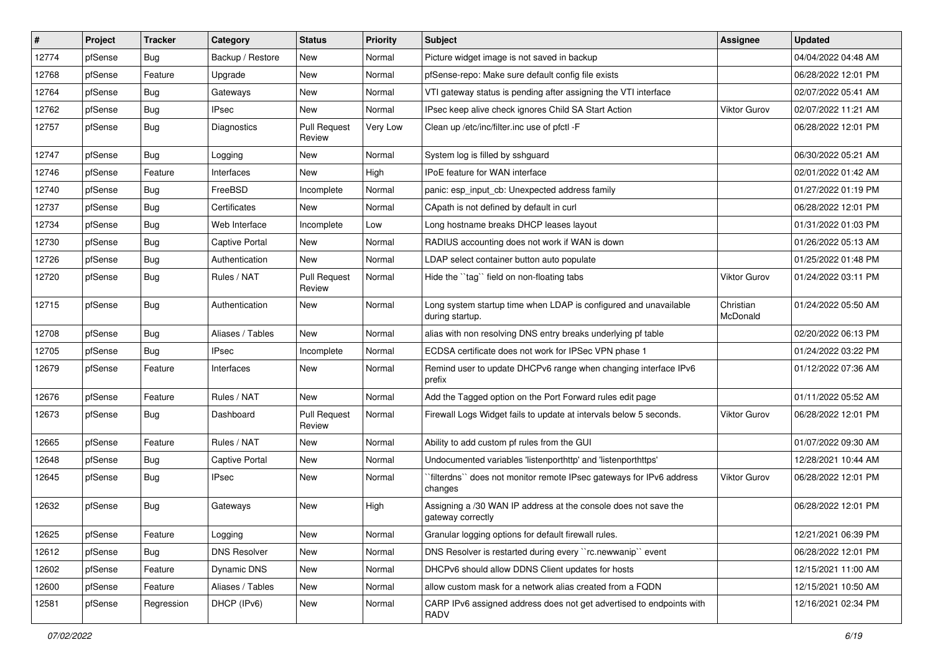| $\vert$ # | Project | <b>Tracker</b> | Category              | <b>Status</b>                 | <b>Priority</b> | <b>Subject</b>                                                                       | <b>Assignee</b>       | <b>Updated</b>      |
|-----------|---------|----------------|-----------------------|-------------------------------|-----------------|--------------------------------------------------------------------------------------|-----------------------|---------------------|
| 12774     | pfSense | <b>Bug</b>     | Backup / Restore      | New                           | Normal          | Picture widget image is not saved in backup                                          |                       | 04/04/2022 04:48 AM |
| 12768     | pfSense | Feature        | Upgrade               | New                           | Normal          | pfSense-repo: Make sure default config file exists                                   |                       | 06/28/2022 12:01 PM |
| 12764     | pfSense | <b>Bug</b>     | Gateways              | New                           | Normal          | VTI gateway status is pending after assigning the VTI interface                      |                       | 02/07/2022 05:41 AM |
| 12762     | pfSense | <b>Bug</b>     | <b>IPsec</b>          | <b>New</b>                    | Normal          | IPsec keep alive check ignores Child SA Start Action                                 | <b>Viktor Gurov</b>   | 02/07/2022 11:21 AM |
| 12757     | pfSense | Bug            | <b>Diagnostics</b>    | <b>Pull Request</b><br>Review | Very Low        | Clean up /etc/inc/filter.inc use of pfctl -F                                         |                       | 06/28/2022 12:01 PM |
| 12747     | pfSense | Bug            | Logging               | New                           | Normal          | System log is filled by sshguard                                                     |                       | 06/30/2022 05:21 AM |
| 12746     | pfSense | Feature        | Interfaces            | <b>New</b>                    | High            | IPoE feature for WAN interface                                                       |                       | 02/01/2022 01:42 AM |
| 12740     | pfSense | Bug            | FreeBSD               | Incomplete                    | Normal          | panic: esp_input_cb: Unexpected address family                                       |                       | 01/27/2022 01:19 PM |
| 12737     | pfSense | Bug            | Certificates          | <b>New</b>                    | Normal          | CApath is not defined by default in curl                                             |                       | 06/28/2022 12:01 PM |
| 12734     | pfSense | <b>Bug</b>     | Web Interface         | Incomplete                    | Low             | Long hostname breaks DHCP leases layout                                              |                       | 01/31/2022 01:03 PM |
| 12730     | pfSense | <b>Bug</b>     | <b>Captive Portal</b> | New                           | Normal          | RADIUS accounting does not work if WAN is down                                       |                       | 01/26/2022 05:13 AM |
| 12726     | pfSense | Bug            | Authentication        | <b>New</b>                    | Normal          | LDAP select container button auto populate                                           |                       | 01/25/2022 01:48 PM |
| 12720     | pfSense | <b>Bug</b>     | Rules / NAT           | <b>Pull Request</b><br>Review | Normal          | Hide the "tag" field on non-floating tabs                                            | <b>Viktor Gurov</b>   | 01/24/2022 03:11 PM |
| 12715     | pfSense | Bug            | Authentication        | <b>New</b>                    | Normal          | Long system startup time when LDAP is configured and unavailable<br>during startup.  | Christian<br>McDonald | 01/24/2022 05:50 AM |
| 12708     | pfSense | Bug            | Aliases / Tables      | <b>New</b>                    | Normal          | alias with non resolving DNS entry breaks underlying pf table                        |                       | 02/20/2022 06:13 PM |
| 12705     | pfSense | Bug            | <b>IPsec</b>          | Incomplete                    | Normal          | ECDSA certificate does not work for IPSec VPN phase 1                                |                       | 01/24/2022 03:22 PM |
| 12679     | pfSense | Feature        | Interfaces            | New                           | Normal          | Remind user to update DHCPv6 range when changing interface IPv6<br>prefix            |                       | 01/12/2022 07:36 AM |
| 12676     | pfSense | Feature        | Rules / NAT           | <b>New</b>                    | Normal          | Add the Tagged option on the Port Forward rules edit page                            |                       | 01/11/2022 05:52 AM |
| 12673     | pfSense | Bug            | Dashboard             | <b>Pull Request</b><br>Review | Normal          | Firewall Logs Widget fails to update at intervals below 5 seconds.                   | <b>Viktor Gurov</b>   | 06/28/2022 12:01 PM |
| 12665     | pfSense | Feature        | Rules / NAT           | New                           | Normal          | Ability to add custom pf rules from the GUI                                          |                       | 01/07/2022 09:30 AM |
| 12648     | pfSense | Bug            | <b>Captive Portal</b> | <b>New</b>                    | Normal          | Undocumented variables 'listenporthttp' and 'listenporthttps'                        |                       | 12/28/2021 10:44 AM |
| 12645     | pfSense | Bug            | <b>IPsec</b>          | New                           | Normal          | `filterdns`` does not monitor remote IPsec gateways for IPv6 address<br>changes      | <b>Viktor Gurov</b>   | 06/28/2022 12:01 PM |
| 12632     | pfSense | Bug            | Gateways              | New                           | High            | Assigning a /30 WAN IP address at the console does not save the<br>gateway correctly |                       | 06/28/2022 12:01 PM |
| 12625     | pfSense | Feature        | Logging               | New                           | Normal          | Granular logging options for default firewall rules.                                 |                       | 12/21/2021 06:39 PM |
| 12612     | pfSense | Bug            | <b>DNS Resolver</b>   | New                           | Normal          | DNS Resolver is restarted during every "rc.newwanip" event                           |                       | 06/28/2022 12:01 PM |
| 12602     | pfSense | Feature        | Dynamic DNS           | New                           | Normal          | DHCPv6 should allow DDNS Client updates for hosts                                    |                       | 12/15/2021 11:00 AM |
| 12600     | pfSense | Feature        | Aliases / Tables      | New                           | Normal          | allow custom mask for a network alias created from a FQDN                            |                       | 12/15/2021 10:50 AM |
| 12581     | pfSense | Regression     | DHCP (IPv6)           | New                           | Normal          | CARP IPv6 assigned address does not get advertised to endpoints with<br><b>RADV</b>  |                       | 12/16/2021 02:34 PM |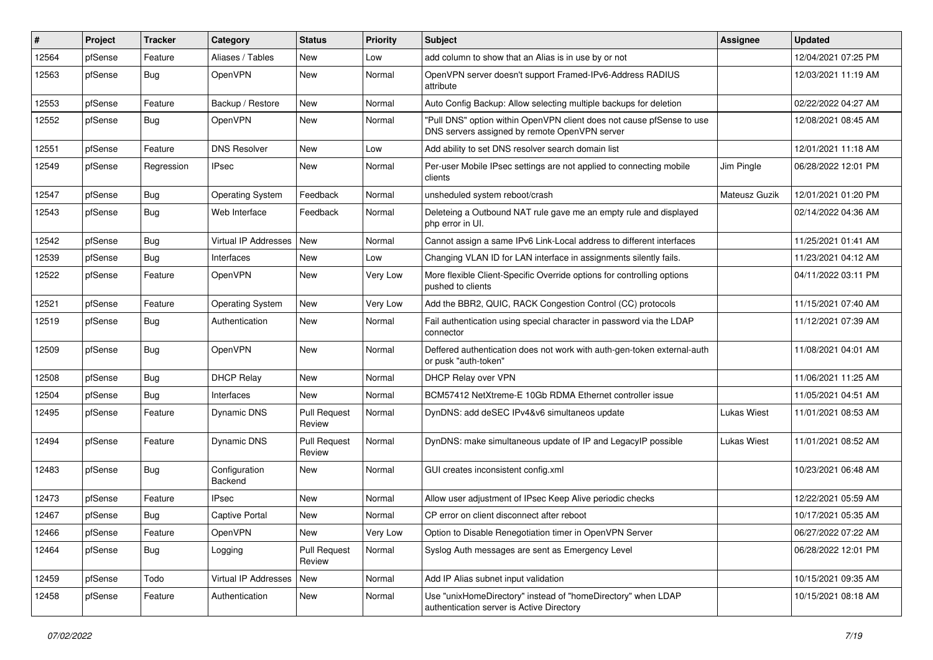| #     | Project | <b>Tracker</b> | Category                 | <b>Status</b>                 | <b>Priority</b> | <b>Subject</b>                                                                                                         | <b>Assignee</b> | <b>Updated</b>      |
|-------|---------|----------------|--------------------------|-------------------------------|-----------------|------------------------------------------------------------------------------------------------------------------------|-----------------|---------------------|
| 12564 | pfSense | Feature        | Aliases / Tables         | New                           | Low             | add column to show that an Alias is in use by or not                                                                   |                 | 12/04/2021 07:25 PM |
| 12563 | pfSense | <b>Bug</b>     | OpenVPN                  | New                           | Normal          | OpenVPN server doesn't support Framed-IPv6-Address RADIUS<br>attribute                                                 |                 | 12/03/2021 11:19 AM |
| 12553 | pfSense | Feature        | Backup / Restore         | New                           | Normal          | Auto Config Backup: Allow selecting multiple backups for deletion                                                      |                 | 02/22/2022 04:27 AM |
| 12552 | pfSense | Bug            | OpenVPN                  | New                           | Normal          | "Pull DNS" option within OpenVPN client does not cause pfSense to use<br>DNS servers assigned by remote OpenVPN server |                 | 12/08/2021 08:45 AM |
| 12551 | pfSense | Feature        | <b>DNS Resolver</b>      | New                           | Low             | Add ability to set DNS resolver search domain list                                                                     |                 | 12/01/2021 11:18 AM |
| 12549 | pfSense | Regression     | <b>IPsec</b>             | New                           | Normal          | Per-user Mobile IPsec settings are not applied to connecting mobile<br>clients                                         | Jim Pingle      | 06/28/2022 12:01 PM |
| 12547 | pfSense | Bug            | <b>Operating System</b>  | Feedback                      | Normal          | unsheduled system reboot/crash                                                                                         | Mateusz Guzik   | 12/01/2021 01:20 PM |
| 12543 | pfSense | Bug            | Web Interface            | Feedback                      | Normal          | Deleteing a Outbound NAT rule gave me an empty rule and displayed<br>php error in UI.                                  |                 | 02/14/2022 04:36 AM |
| 12542 | pfSense | Bug            | Virtual IP Addresses     | <b>New</b>                    | Normal          | Cannot assign a same IPv6 Link-Local address to different interfaces                                                   |                 | 11/25/2021 01:41 AM |
| 12539 | pfSense | Bug            | Interfaces               | New                           | Low             | Changing VLAN ID for LAN interface in assignments silently fails.                                                      |                 | 11/23/2021 04:12 AM |
| 12522 | pfSense | Feature        | OpenVPN                  | New                           | Very Low        | More flexible Client-Specific Override options for controlling options<br>pushed to clients                            |                 | 04/11/2022 03:11 PM |
| 12521 | pfSense | Feature        | <b>Operating System</b>  | <b>New</b>                    | Very Low        | Add the BBR2, QUIC, RACK Congestion Control (CC) protocols                                                             |                 | 11/15/2021 07:40 AM |
| 12519 | pfSense | <b>Bug</b>     | Authentication           | New                           | Normal          | Fail authentication using special character in password via the LDAP<br>connector                                      |                 | 11/12/2021 07:39 AM |
| 12509 | pfSense | Bug            | OpenVPN                  | New                           | Normal          | Deffered authentication does not work with auth-gen-token external-auth<br>or pusk "auth-token"                        |                 | 11/08/2021 04:01 AM |
| 12508 | pfSense | Bug            | <b>DHCP Relay</b>        | New                           | Normal          | DHCP Relay over VPN                                                                                                    |                 | 11/06/2021 11:25 AM |
| 12504 | pfSense | Bug            | Interfaces               | New                           | Normal          | BCM57412 NetXtreme-E 10Gb RDMA Ethernet controller issue                                                               |                 | 11/05/2021 04:51 AM |
| 12495 | pfSense | Feature        | Dynamic DNS              | Pull Request<br>Review        | Normal          | DynDNS: add deSEC IPv4&v6 simultaneos update                                                                           | Lukas Wiest     | 11/01/2021 08:53 AM |
| 12494 | pfSense | Feature        | <b>Dynamic DNS</b>       | Pull Request<br>Review        | Normal          | DynDNS: make simultaneous update of IP and LegacyIP possible                                                           | Lukas Wiest     | 11/01/2021 08:52 AM |
| 12483 | pfSense | Bug            | Configuration<br>Backend | New                           | Normal          | GUI creates inconsistent config.xml                                                                                    |                 | 10/23/2021 06:48 AM |
| 12473 | pfSense | Feature        | <b>IPsec</b>             | <b>New</b>                    | Normal          | Allow user adjustment of IPsec Keep Alive periodic checks                                                              |                 | 12/22/2021 05:59 AM |
| 12467 | pfSense | Bug            | <b>Captive Portal</b>    | New                           | Normal          | CP error on client disconnect after reboot                                                                             |                 | 10/17/2021 05:35 AM |
| 12466 | pfSense | Feature        | OpenVPN                  | New                           | Very Low        | Option to Disable Renegotiation timer in OpenVPN Server                                                                |                 | 06/27/2022 07:22 AM |
| 12464 | pfSense | Bug            | Logging                  | <b>Pull Request</b><br>Review | Normal          | Syslog Auth messages are sent as Emergency Level                                                                       |                 | 06/28/2022 12:01 PM |
| 12459 | pfSense | Todo           | Virtual IP Addresses     | New                           | Normal          | Add IP Alias subnet input validation                                                                                   |                 | 10/15/2021 09:35 AM |
| 12458 | pfSense | Feature        | Authentication           | New                           | Normal          | Use "unixHomeDirectory" instead of "homeDirectory" when LDAP<br>authentication server is Active Directory              |                 | 10/15/2021 08:18 AM |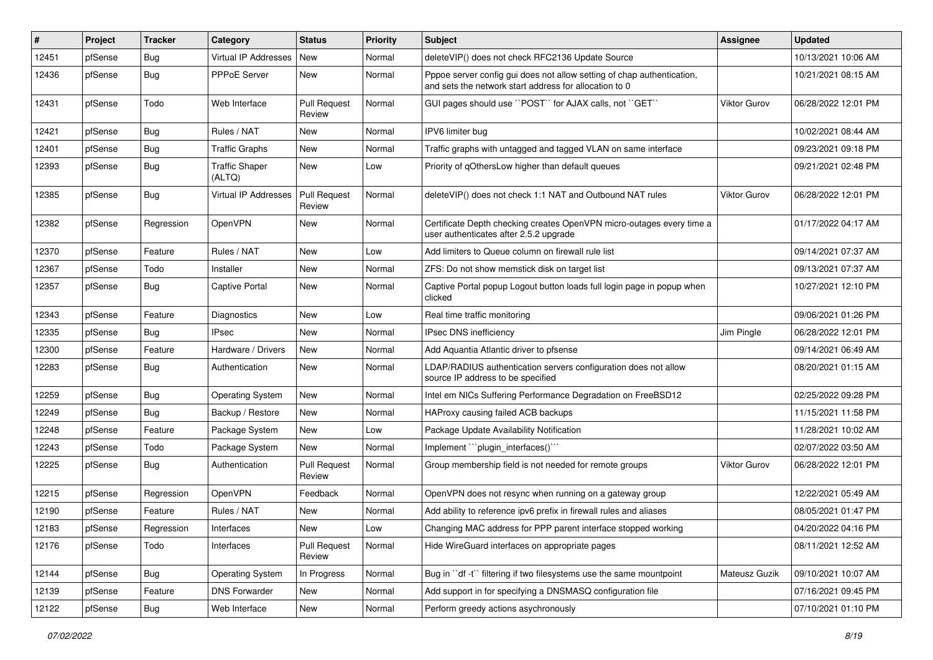| ∦     | Project | <b>Tracker</b> | Category                        | <b>Status</b>                 | <b>Priority</b> | <b>Subject</b>                                                                                                                   | <b>Assignee</b>     | <b>Updated</b>      |
|-------|---------|----------------|---------------------------------|-------------------------------|-----------------|----------------------------------------------------------------------------------------------------------------------------------|---------------------|---------------------|
| 12451 | pfSense | <b>Bug</b>     | Virtual IP Addresses            | <b>New</b>                    | Normal          | deleteVIP() does not check RFC2136 Update Source                                                                                 |                     | 10/13/2021 10:06 AM |
| 12436 | pfSense | Bug            | PPPoE Server                    | New                           | Normal          | Pppoe server config gui does not allow setting of chap authentication,<br>and sets the network start address for allocation to 0 |                     | 10/21/2021 08:15 AM |
| 12431 | pfSense | Todo           | Web Interface                   | <b>Pull Request</b><br>Review | Normal          | GUI pages should use "POST" for AJAX calls, not "GET"                                                                            | <b>Viktor Gurov</b> | 06/28/2022 12:01 PM |
| 12421 | pfSense | Bug            | Rules / NAT                     | New                           | Normal          | IPV6 limiter bug                                                                                                                 |                     | 10/02/2021 08:44 AM |
| 12401 | pfSense | Bug            | <b>Traffic Graphs</b>           | <b>New</b>                    | Normal          | Traffic graphs with untagged and tagged VLAN on same interface                                                                   |                     | 09/23/2021 09:18 PM |
| 12393 | pfSense | Bug            | <b>Traffic Shaper</b><br>(ALTQ) | <b>New</b>                    | Low             | Priority of qOthersLow higher than default queues                                                                                |                     | 09/21/2021 02:48 PM |
| 12385 | pfSense | Bug            | <b>Virtual IP Addresses</b>     | Pull Request<br>Review        | Normal          | deleteVIP() does not check 1:1 NAT and Outbound NAT rules                                                                        | <b>Viktor Gurov</b> | 06/28/2022 12:01 PM |
| 12382 | pfSense | Regression     | OpenVPN                         | New                           | Normal          | Certificate Depth checking creates OpenVPN micro-outages every time a<br>user authenticates after 2.5.2 upgrade                  |                     | 01/17/2022 04:17 AM |
| 12370 | pfSense | Feature        | Rules / NAT                     | <b>New</b>                    | Low             | Add limiters to Queue column on firewall rule list                                                                               |                     | 09/14/2021 07:37 AM |
| 12367 | pfSense | Todo           | Installer                       | <b>New</b>                    | Normal          | ZFS: Do not show memstick disk on target list                                                                                    |                     | 09/13/2021 07:37 AM |
| 12357 | pfSense | <b>Bug</b>     | <b>Captive Portal</b>           | New                           | Normal          | Captive Portal popup Logout button loads full login page in popup when<br>clicked                                                |                     | 10/27/2021 12:10 PM |
| 12343 | pfSense | Feature        | Diagnostics                     | <b>New</b>                    | Low             | Real time traffic monitoring                                                                                                     |                     | 09/06/2021 01:26 PM |
| 12335 | pfSense | Bug            | <b>IPsec</b>                    | New                           | Normal          | IPsec DNS inefficiency                                                                                                           | Jim Pingle          | 06/28/2022 12:01 PM |
| 12300 | pfSense | Feature        | Hardware / Drivers              | <b>New</b>                    | Normal          | Add Aquantia Atlantic driver to pfsense                                                                                          |                     | 09/14/2021 06:49 AM |
| 12283 | pfSense | Bug            | Authentication                  | New                           | Normal          | LDAP/RADIUS authentication servers configuration does not allow<br>source IP address to be specified                             |                     | 08/20/2021 01:15 AM |
| 12259 | pfSense | Bug            | <b>Operating System</b>         | <b>New</b>                    | Normal          | Intel em NICs Suffering Performance Degradation on FreeBSD12                                                                     |                     | 02/25/2022 09:28 PM |
| 12249 | pfSense | Bug            | Backup / Restore                | <b>New</b>                    | Normal          | HAProxy causing failed ACB backups                                                                                               |                     | 11/15/2021 11:58 PM |
| 12248 | pfSense | Feature        | Package System                  | New                           | Low             | Package Update Availability Notification                                                                                         |                     | 11/28/2021 10:02 AM |
| 12243 | pfSense | Todo           | Package System                  | New                           | Normal          | Implement "plugin_interfaces()"                                                                                                  |                     | 02/07/2022 03:50 AM |
| 12225 | pfSense | Bug            | Authentication                  | <b>Pull Request</b><br>Review | Normal          | Group membership field is not needed for remote groups                                                                           | Viktor Gurov        | 06/28/2022 12:01 PM |
| 12215 | pfSense | Regression     | OpenVPN                         | Feedback                      | Normal          | OpenVPN does not resync when running on a gateway group                                                                          |                     | 12/22/2021 05:49 AM |
| 12190 | pfSense | Feature        | Rules / NAT                     | New                           | Normal          | Add ability to reference ipv6 prefix in firewall rules and aliases                                                               |                     | 08/05/2021 01:47 PM |
| 12183 | pfSense | Regression     | Interfaces                      | New                           | Low             | Changing MAC address for PPP parent interface stopped working                                                                    |                     | 04/20/2022 04:16 PM |
| 12176 | pfSense | Todo           | Interfaces                      | Pull Request<br>Review        | Normal          | Hide WireGuard interfaces on appropriate pages                                                                                   |                     | 08/11/2021 12:52 AM |
| 12144 | pfSense | <b>Bug</b>     | <b>Operating System</b>         | In Progress                   | Normal          | Bug in "df -t" filtering if two filesystems use the same mountpoint                                                              | Mateusz Guzik       | 09/10/2021 10:07 AM |
| 12139 | pfSense | Feature        | <b>DNS Forwarder</b>            | New                           | Normal          | Add support in for specifying a DNSMASQ configuration file                                                                       |                     | 07/16/2021 09:45 PM |
| 12122 | pfSense | Bug            | Web Interface                   | New                           | Normal          | Perform greedy actions asychronously                                                                                             |                     | 07/10/2021 01:10 PM |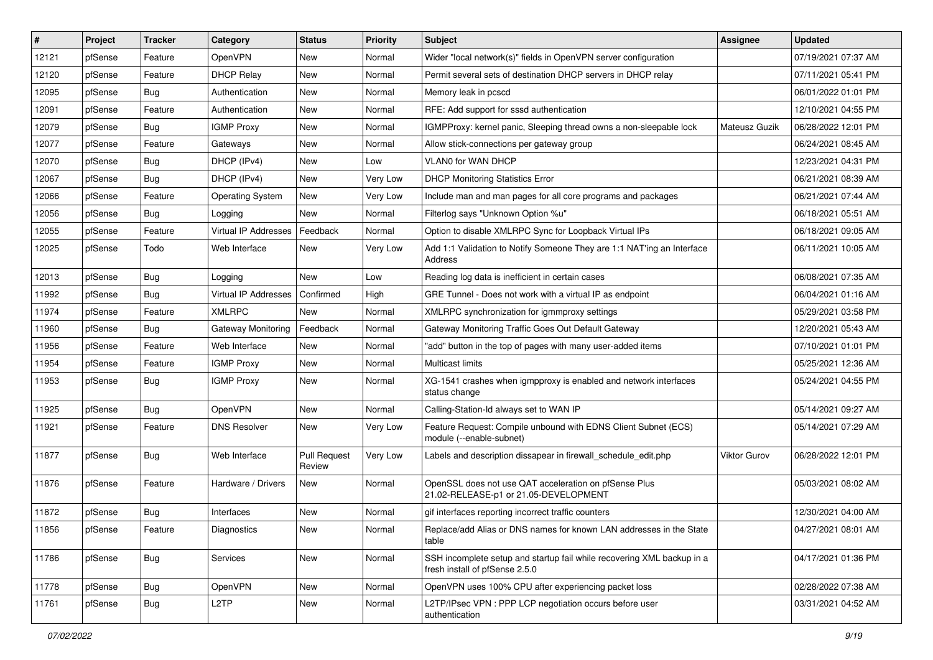| #     | Project | <b>Tracker</b> | Category                    | <b>Status</b>                 | <b>Priority</b> | <b>Subject</b>                                                                                           | <b>Assignee</b> | <b>Updated</b>      |
|-------|---------|----------------|-----------------------------|-------------------------------|-----------------|----------------------------------------------------------------------------------------------------------|-----------------|---------------------|
| 12121 | pfSense | Feature        | OpenVPN                     | New                           | Normal          | Wider "local network(s)" fields in OpenVPN server configuration                                          |                 | 07/19/2021 07:37 AM |
| 12120 | pfSense | Feature        | <b>DHCP Relay</b>           | New                           | Normal          | Permit several sets of destination DHCP servers in DHCP relay                                            |                 | 07/11/2021 05:41 PM |
| 12095 | pfSense | Bug            | Authentication              | New                           | Normal          | Memory leak in pcscd                                                                                     |                 | 06/01/2022 01:01 PM |
| 12091 | pfSense | Feature        | Authentication              | New                           | Normal          | RFE: Add support for sssd authentication                                                                 |                 | 12/10/2021 04:55 PM |
| 12079 | pfSense | Bug            | <b>IGMP Proxy</b>           | New                           | Normal          | IGMPProxy: kernel panic, Sleeping thread owns a non-sleepable lock                                       | Mateusz Guzik   | 06/28/2022 12:01 PM |
| 12077 | pfSense | Feature        | Gateways                    | New                           | Normal          | Allow stick-connections per gateway group                                                                |                 | 06/24/2021 08:45 AM |
| 12070 | pfSense | Bug            | DHCP (IPv4)                 | New                           | Low             | VLAN0 for WAN DHCP                                                                                       |                 | 12/23/2021 04:31 PM |
| 12067 | pfSense | Bug            | DHCP (IPv4)                 | New                           | Very Low        | <b>DHCP Monitoring Statistics Error</b>                                                                  |                 | 06/21/2021 08:39 AM |
| 12066 | pfSense | Feature        | <b>Operating System</b>     | New                           | Very Low        | Include man and man pages for all core programs and packages                                             |                 | 06/21/2021 07:44 AM |
| 12056 | pfSense | Bug            | Logging                     | <b>New</b>                    | Normal          | Filterlog says "Unknown Option %u"                                                                       |                 | 06/18/2021 05:51 AM |
| 12055 | pfSense | Feature        | <b>Virtual IP Addresses</b> | Feedback                      | Normal          | Option to disable XMLRPC Sync for Loopback Virtual IPs                                                   |                 | 06/18/2021 09:05 AM |
| 12025 | pfSense | Todo           | Web Interface               | New                           | Very Low        | Add 1:1 Validation to Notify Someone They are 1:1 NAT'ing an Interface<br>Address                        |                 | 06/11/2021 10:05 AM |
| 12013 | pfSense | Bug            | Logging                     | <b>New</b>                    | Low             | Reading log data is inefficient in certain cases                                                         |                 | 06/08/2021 07:35 AM |
| 11992 | pfSense | Bug            | <b>Virtual IP Addresses</b> | Confirmed                     | High            | GRE Tunnel - Does not work with a virtual IP as endpoint                                                 |                 | 06/04/2021 01:16 AM |
| 11974 | pfSense | Feature        | <b>XMLRPC</b>               | <b>New</b>                    | Normal          | XMLRPC synchronization for igmmproxy settings                                                            |                 | 05/29/2021 03:58 PM |
| 11960 | pfSense | Bug            | <b>Gateway Monitoring</b>   | Feedback                      | Normal          | Gateway Monitoring Traffic Goes Out Default Gateway                                                      |                 | 12/20/2021 05:43 AM |
| 11956 | pfSense | Feature        | Web Interface               | New                           | Normal          | "add" button in the top of pages with many user-added items                                              |                 | 07/10/2021 01:01 PM |
| 11954 | pfSense | Feature        | <b>IGMP Proxy</b>           | <b>New</b>                    | Normal          | <b>Multicast limits</b>                                                                                  |                 | 05/25/2021 12:36 AM |
| 11953 | pfSense | Bug            | <b>IGMP Proxy</b>           | New                           | Normal          | XG-1541 crashes when igmpproxy is enabled and network interfaces<br>status change                        |                 | 05/24/2021 04:55 PM |
| 11925 | pfSense | Bug            | <b>OpenVPN</b>              | New                           | Normal          | Calling-Station-Id always set to WAN IP                                                                  |                 | 05/14/2021 09:27 AM |
| 11921 | pfSense | Feature        | <b>DNS Resolver</b>         | New                           | Very Low        | Feature Request: Compile unbound with EDNS Client Subnet (ECS)<br>module (--enable-subnet)               |                 | 05/14/2021 07:29 AM |
| 11877 | pfSense | Bug            | Web Interface               | <b>Pull Request</b><br>Review | Very Low        | Labels and description dissapear in firewall_schedule_edit.php                                           | Viktor Gurov    | 06/28/2022 12:01 PM |
| 11876 | pfSense | Feature        | Hardware / Drivers          | New                           | Normal          | OpenSSL does not use QAT acceleration on pfSense Plus<br>21.02-RELEASE-p1 or 21.05-DEVELOPMENT           |                 | 05/03/2021 08:02 AM |
| 11872 | pfSense | Bug            | Interfaces                  | New                           | Normal          | gif interfaces reporting incorrect traffic counters                                                      |                 | 12/30/2021 04:00 AM |
| 11856 | pfSense | Feature        | <b>Diagnostics</b>          | New                           | Normal          | Replace/add Alias or DNS names for known LAN addresses in the State<br>table                             |                 | 04/27/2021 08:01 AM |
| 11786 | pfSense | <b>Bug</b>     | Services                    | New                           | Normal          | SSH incomplete setup and startup fail while recovering XML backup in a<br>fresh install of pfSense 2.5.0 |                 | 04/17/2021 01:36 PM |
| 11778 | pfSense | Bug            | <b>OpenVPN</b>              | New                           | Normal          | OpenVPN uses 100% CPU after experiencing packet loss                                                     |                 | 02/28/2022 07:38 AM |
| 11761 | pfSense | <b>Bug</b>     | L <sub>2</sub> TP           | New                           | Normal          | L2TP/IPsec VPN : PPP LCP negotiation occurs before user<br>authentication                                |                 | 03/31/2021 04:52 AM |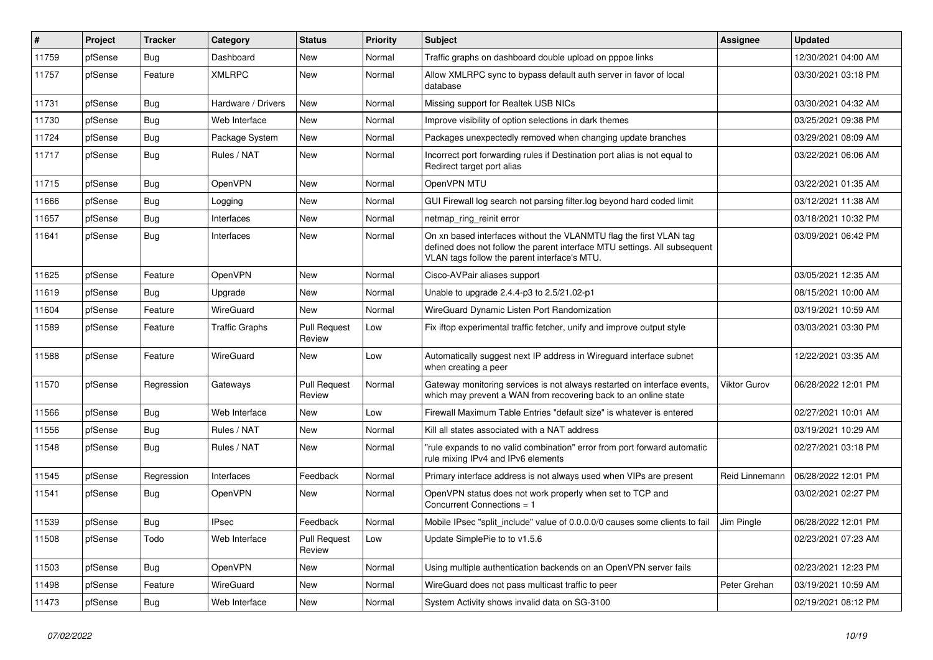| $\#$  | Project | <b>Tracker</b> | Category           | <b>Status</b>                 | <b>Priority</b> | <b>Subject</b>                                                                                                                                                                                  | Assignee            | <b>Updated</b>      |
|-------|---------|----------------|--------------------|-------------------------------|-----------------|-------------------------------------------------------------------------------------------------------------------------------------------------------------------------------------------------|---------------------|---------------------|
| 11759 | pfSense | <b>Bug</b>     | Dashboard          | New                           | Normal          | Traffic graphs on dashboard double upload on pppoe links                                                                                                                                        |                     | 12/30/2021 04:00 AM |
| 11757 | pfSense | Feature        | <b>XMLRPC</b>      | <b>New</b>                    | Normal          | Allow XMLRPC sync to bypass default auth server in favor of local<br>database                                                                                                                   |                     | 03/30/2021 03:18 PM |
| 11731 | pfSense | <b>Bug</b>     | Hardware / Drivers | <b>New</b>                    | Normal          | Missing support for Realtek USB NICs                                                                                                                                                            |                     | 03/30/2021 04:32 AM |
| 11730 | pfSense | Bug            | Web Interface      | <b>New</b>                    | Normal          | Improve visibility of option selections in dark themes                                                                                                                                          |                     | 03/25/2021 09:38 PM |
| 11724 | pfSense | <b>Bug</b>     | Package System     | New                           | Normal          | Packages unexpectedly removed when changing update branches                                                                                                                                     |                     | 03/29/2021 08:09 AM |
| 11717 | pfSense | <b>Bug</b>     | Rules / NAT        | New                           | Normal          | Incorrect port forwarding rules if Destination port alias is not equal to<br>Redirect target port alias                                                                                         |                     | 03/22/2021 06:06 AM |
| 11715 | pfSense | Bug            | <b>OpenVPN</b>     | <b>New</b>                    | Normal          | OpenVPN MTU                                                                                                                                                                                     |                     | 03/22/2021 01:35 AM |
| 11666 | pfSense | <b>Bug</b>     | Logging            | <b>New</b>                    | Normal          | GUI Firewall log search not parsing filter.log beyond hard coded limit                                                                                                                          |                     | 03/12/2021 11:38 AM |
| 11657 | pfSense | <b>Bug</b>     | Interfaces         | New                           | Normal          | netmap_ring_reinit error                                                                                                                                                                        |                     | 03/18/2021 10:32 PM |
| 11641 | pfSense | <b>Bug</b>     | Interfaces         | New                           | Normal          | On xn based interfaces without the VLANMTU flag the first VLAN tag<br>defined does not follow the parent interface MTU settings. All subsequent<br>VLAN tags follow the parent interface's MTU. |                     | 03/09/2021 06:42 PM |
| 11625 | pfSense | Feature        | OpenVPN            | New                           | Normal          | Cisco-AVPair aliases support                                                                                                                                                                    |                     | 03/05/2021 12:35 AM |
| 11619 | pfSense | <b>Bug</b>     | Upgrade            | New                           | Normal          | Unable to upgrade 2.4.4-p3 to 2.5/21.02-p1                                                                                                                                                      |                     | 08/15/2021 10:00 AM |
| 11604 | pfSense | Feature        | WireGuard          | New                           | Normal          | WireGuard Dynamic Listen Port Randomization                                                                                                                                                     |                     | 03/19/2021 10:59 AM |
| 11589 | pfSense | Feature        | Traffic Graphs     | <b>Pull Request</b><br>Review | Low             | Fix iftop experimental traffic fetcher, unify and improve output style                                                                                                                          |                     | 03/03/2021 03:30 PM |
| 11588 | pfSense | Feature        | WireGuard          | New                           | Low             | Automatically suggest next IP address in Wireguard interface subnet<br>when creating a peer                                                                                                     |                     | 12/22/2021 03:35 AM |
| 11570 | pfSense | Regression     | Gateways           | <b>Pull Request</b><br>Review | Normal          | Gateway monitoring services is not always restarted on interface events,<br>which may prevent a WAN from recovering back to an online state                                                     | <b>Viktor Gurov</b> | 06/28/2022 12:01 PM |
| 11566 | pfSense | Bug            | Web Interface      | <b>New</b>                    | Low             | Firewall Maximum Table Entries "default size" is whatever is entered                                                                                                                            |                     | 02/27/2021 10:01 AM |
| 11556 | pfSense | Bug            | Rules / NAT        | New                           | Normal          | Kill all states associated with a NAT address                                                                                                                                                   |                     | 03/19/2021 10:29 AM |
| 11548 | pfSense | <b>Bug</b>     | Rules / NAT        | New                           | Normal          | "rule expands to no valid combination" error from port forward automatic<br>rule mixing IPv4 and IPv6 elements                                                                                  |                     | 02/27/2021 03:18 PM |
| 11545 | pfSense | Regression     | Interfaces         | Feedback                      | Normal          | Primary interface address is not always used when VIPs are present                                                                                                                              | Reid Linnemann      | 06/28/2022 12:01 PM |
| 11541 | pfSense | <b>Bug</b>     | OpenVPN            | New                           | Normal          | OpenVPN status does not work properly when set to TCP and<br>Concurrent Connections = 1                                                                                                         |                     | 03/02/2021 02:27 PM |
| 11539 | pfSense | Bug            | IPsec              | Feedback                      | Normal          | Mobile IPsec "split include" value of 0.0.0.0/0 causes some clients to fail                                                                                                                     | Jim Pinale          | 06/28/2022 12:01 PM |
| 11508 | pfSense | Todo           | Web Interface      | <b>Pull Request</b><br>Review | Low             | Update SimplePie to to v1.5.6                                                                                                                                                                   |                     | 02/23/2021 07:23 AM |
| 11503 | pfSense | Bug            | OpenVPN            | New                           | Normal          | Using multiple authentication backends on an OpenVPN server fails                                                                                                                               |                     | 02/23/2021 12:23 PM |
| 11498 | pfSense | Feature        | WireGuard          | New                           | Normal          | WireGuard does not pass multicast traffic to peer                                                                                                                                               | Peter Grehan        | 03/19/2021 10:59 AM |
| 11473 | pfSense | Bug            | Web Interface      | New                           | Normal          | System Activity shows invalid data on SG-3100                                                                                                                                                   |                     | 02/19/2021 08:12 PM |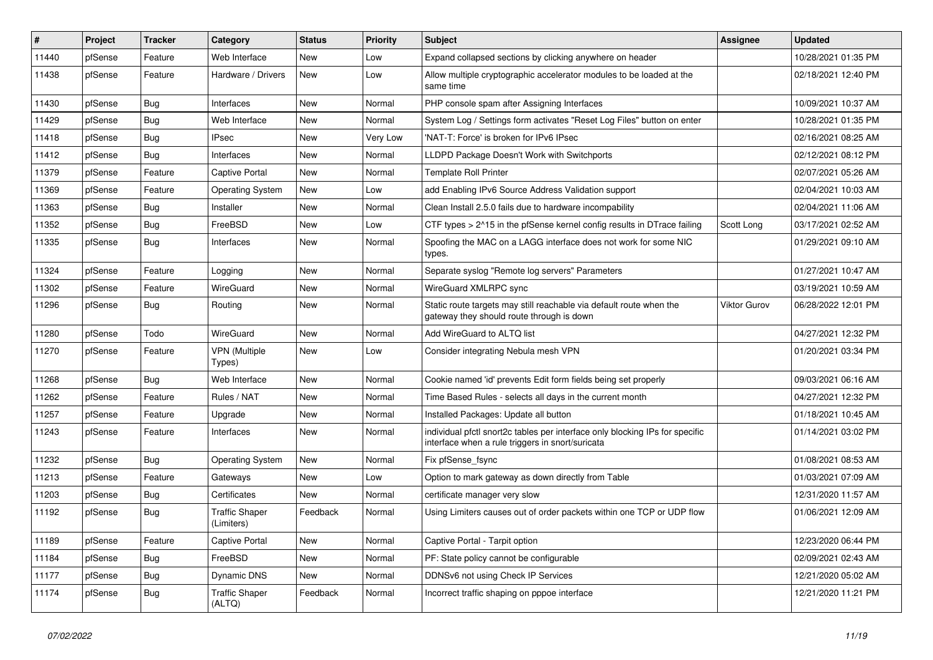| $\vert$ # | Project | <b>Tracker</b> | Category                            | <b>Status</b> | <b>Priority</b> | <b>Subject</b>                                                                                                                   | <b>Assignee</b>     | <b>Updated</b>      |
|-----------|---------|----------------|-------------------------------------|---------------|-----------------|----------------------------------------------------------------------------------------------------------------------------------|---------------------|---------------------|
| 11440     | pfSense | Feature        | Web Interface                       | New           | Low             | Expand collapsed sections by clicking anywhere on header                                                                         |                     | 10/28/2021 01:35 PM |
| 11438     | pfSense | Feature        | Hardware / Drivers                  | New           | Low             | Allow multiple cryptographic accelerator modules to be loaded at the<br>same time                                                |                     | 02/18/2021 12:40 PM |
| 11430     | pfSense | <b>Bug</b>     | Interfaces                          | New           | Normal          | PHP console spam after Assigning Interfaces                                                                                      |                     | 10/09/2021 10:37 AM |
| 11429     | pfSense | Bug            | Web Interface                       | New           | Normal          | System Log / Settings form activates "Reset Log Files" button on enter                                                           |                     | 10/28/2021 01:35 PM |
| 11418     | pfSense | <b>Bug</b>     | <b>IPsec</b>                        | New           | Very Low        | 'NAT-T: Force' is broken for IPv6 IPsec                                                                                          |                     | 02/16/2021 08:25 AM |
| 11412     | pfSense | <b>Bug</b>     | Interfaces                          | New           | Normal          | LLDPD Package Doesn't Work with Switchports                                                                                      |                     | 02/12/2021 08:12 PM |
| 11379     | pfSense | Feature        | Captive Portal                      | New           | Normal          | <b>Template Roll Printer</b>                                                                                                     |                     | 02/07/2021 05:26 AM |
| 11369     | pfSense | Feature        | <b>Operating System</b>             | New           | Low             | add Enabling IPv6 Source Address Validation support                                                                              |                     | 02/04/2021 10:03 AM |
| 11363     | pfSense | <b>Bug</b>     | Installer                           | New           | Normal          | Clean Install 2.5.0 fails due to hardware incompability                                                                          |                     | 02/04/2021 11:06 AM |
| 11352     | pfSense | Bug            | FreeBSD                             | New           | Low             | CTF types > 2^15 in the pfSense kernel config results in DTrace failing                                                          | Scott Long          | 03/17/2021 02:52 AM |
| 11335     | pfSense | <b>Bug</b>     | Interfaces                          | New           | Normal          | Spoofing the MAC on a LAGG interface does not work for some NIC<br>types.                                                        |                     | 01/29/2021 09:10 AM |
| 11324     | pfSense | Feature        | Logging                             | New           | Normal          | Separate syslog "Remote log servers" Parameters                                                                                  |                     | 01/27/2021 10:47 AM |
| 11302     | pfSense | Feature        | WireGuard                           | New           | Normal          | WireGuard XMLRPC sync                                                                                                            |                     | 03/19/2021 10:59 AM |
| 11296     | pfSense | Bug            | Routing                             | New           | Normal          | Static route targets may still reachable via default route when the<br>gateway they should route through is down                 | <b>Viktor Gurov</b> | 06/28/2022 12:01 PM |
| 11280     | pfSense | Todo           | WireGuard                           | <b>New</b>    | Normal          | Add WireGuard to ALTO list                                                                                                       |                     | 04/27/2021 12:32 PM |
| 11270     | pfSense | Feature        | <b>VPN (Multiple</b><br>Types)      | New           | Low             | Consider integrating Nebula mesh VPN                                                                                             |                     | 01/20/2021 03:34 PM |
| 11268     | pfSense | Bug            | Web Interface                       | New           | Normal          | Cookie named 'id' prevents Edit form fields being set properly                                                                   |                     | 09/03/2021 06:16 AM |
| 11262     | pfSense | Feature        | Rules / NAT                         | <b>New</b>    | Normal          | Time Based Rules - selects all days in the current month                                                                         |                     | 04/27/2021 12:32 PM |
| 11257     | pfSense | Feature        | Upgrade                             | New           | Normal          | Installed Packages: Update all button                                                                                            |                     | 01/18/2021 10:45 AM |
| 11243     | pfSense | Feature        | Interfaces                          | New           | Normal          | individual pfctl snort2c tables per interface only blocking IPs for specific<br>interface when a rule triggers in snort/suricata |                     | 01/14/2021 03:02 PM |
| 11232     | pfSense | <b>Bug</b>     | Operating System                    | <b>New</b>    | Normal          | Fix pfSense fsync                                                                                                                |                     | 01/08/2021 08:53 AM |
| 11213     | pfSense | Feature        | Gateways                            | New           | Low             | Option to mark gateway as down directly from Table                                                                               |                     | 01/03/2021 07:09 AM |
| 11203     | pfSense | <b>Bug</b>     | Certificates                        | <b>New</b>    | Normal          | certificate manager very slow                                                                                                    |                     | 12/31/2020 11:57 AM |
| 11192     | pfSense | Bug            | <b>Traffic Shaper</b><br>(Limiters) | Feedback      | Normal          | Using Limiters causes out of order packets within one TCP or UDP flow                                                            |                     | 01/06/2021 12:09 AM |
| 11189     | pfSense | Feature        | Captive Portal                      | New           | Normal          | Captive Portal - Tarpit option                                                                                                   |                     | 12/23/2020 06:44 PM |
| 11184     | pfSense | <b>Bug</b>     | FreeBSD                             | New           | Normal          | PF: State policy cannot be configurable                                                                                          |                     | 02/09/2021 02:43 AM |
| 11177     | pfSense | <b>Bug</b>     | Dynamic DNS                         | New           | Normal          | DDNSv6 not using Check IP Services                                                                                               |                     | 12/21/2020 05:02 AM |
| 11174     | pfSense | <b>Bug</b>     | <b>Traffic Shaper</b><br>(ALTQ)     | Feedback      | Normal          | Incorrect traffic shaping on pppoe interface                                                                                     |                     | 12/21/2020 11:21 PM |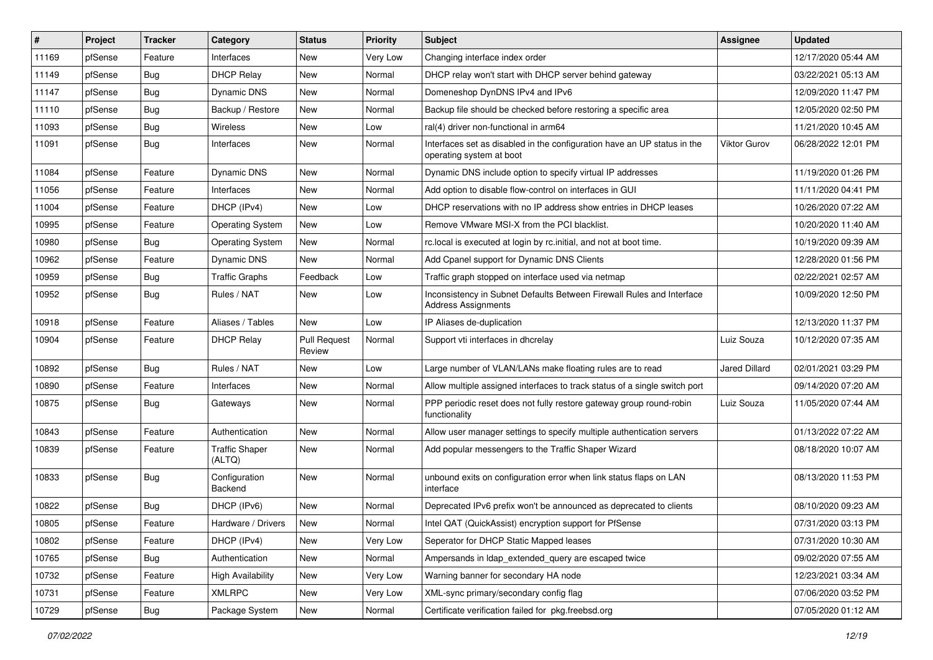| #     | Project | <b>Tracker</b> | Category                        | <b>Status</b>                 | <b>Priority</b> | <b>Subject</b>                                                                                       | <b>Assignee</b>      | <b>Updated</b>      |
|-------|---------|----------------|---------------------------------|-------------------------------|-----------------|------------------------------------------------------------------------------------------------------|----------------------|---------------------|
| 11169 | pfSense | Feature        | Interfaces                      | New                           | Very Low        | Changing interface index order                                                                       |                      | 12/17/2020 05:44 AM |
| 11149 | pfSense | Bug            | <b>DHCP Relay</b>               | New                           | Normal          | DHCP relay won't start with DHCP server behind gateway                                               |                      | 03/22/2021 05:13 AM |
| 11147 | pfSense | Bug            | Dynamic DNS                     | New                           | Normal          | Domeneshop DynDNS IPv4 and IPv6                                                                      |                      | 12/09/2020 11:47 PM |
| 11110 | pfSense | Bug            | Backup / Restore                | New                           | Normal          | Backup file should be checked before restoring a specific area                                       |                      | 12/05/2020 02:50 PM |
| 11093 | pfSense | Bug            | Wireless                        | New                           | Low             | ral(4) driver non-functional in arm64                                                                |                      | 11/21/2020 10:45 AM |
| 11091 | pfSense | Bug            | Interfaces                      | New                           | Normal          | Interfaces set as disabled in the configuration have an UP status in the<br>operating system at boot | <b>Viktor Gurov</b>  | 06/28/2022 12:01 PM |
| 11084 | pfSense | Feature        | Dynamic DNS                     | New                           | Normal          | Dynamic DNS include option to specify virtual IP addresses                                           |                      | 11/19/2020 01:26 PM |
| 11056 | pfSense | Feature        | Interfaces                      | New                           | Normal          | Add option to disable flow-control on interfaces in GUI                                              |                      | 11/11/2020 04:41 PM |
| 11004 | pfSense | Feature        | DHCP (IPv4)                     | <b>New</b>                    | Low             | DHCP reservations with no IP address show entries in DHCP leases                                     |                      | 10/26/2020 07:22 AM |
| 10995 | pfSense | Feature        | <b>Operating System</b>         | New                           | Low             | Remove VMware MSI-X from the PCI blacklist.                                                          |                      | 10/20/2020 11:40 AM |
| 10980 | pfSense | Bug            | <b>Operating System</b>         | New                           | Normal          | rc.local is executed at login by rc.initial, and not at boot time.                                   |                      | 10/19/2020 09:39 AM |
| 10962 | pfSense | Feature        | <b>Dynamic DNS</b>              | <b>New</b>                    | Normal          | Add Cpanel support for Dynamic DNS Clients                                                           |                      | 12/28/2020 01:56 PM |
| 10959 | pfSense | Bug            | <b>Traffic Graphs</b>           | Feedback                      | Low             | Traffic graph stopped on interface used via netmap                                                   |                      | 02/22/2021 02:57 AM |
| 10952 | pfSense | Bug            | Rules / NAT                     | New                           | Low             | Inconsistency in Subnet Defaults Between Firewall Rules and Interface<br><b>Address Assignments</b>  |                      | 10/09/2020 12:50 PM |
| 10918 | pfSense | Feature        | Aliases / Tables                | New                           | Low             | IP Aliases de-duplication                                                                            |                      | 12/13/2020 11:37 PM |
| 10904 | pfSense | Feature        | <b>DHCP Relay</b>               | <b>Pull Request</b><br>Review | Normal          | Support vti interfaces in dhcrelay                                                                   | Luiz Souza           | 10/12/2020 07:35 AM |
| 10892 | pfSense | Bug            | Rules / NAT                     | New                           | Low             | Large number of VLAN/LANs make floating rules are to read                                            | <b>Jared Dillard</b> | 02/01/2021 03:29 PM |
| 10890 | pfSense | Feature        | Interfaces                      | New                           | Normal          | Allow multiple assigned interfaces to track status of a single switch port                           |                      | 09/14/2020 07:20 AM |
| 10875 | pfSense | Bug            | Gateways                        | New                           | Normal          | PPP periodic reset does not fully restore gateway group round-robin<br>functionality                 | Luiz Souza           | 11/05/2020 07:44 AM |
| 10843 | pfSense | Feature        | Authentication                  | <b>New</b>                    | Normal          | Allow user manager settings to specify multiple authentication servers                               |                      | 01/13/2022 07:22 AM |
| 10839 | pfSense | Feature        | <b>Traffic Shaper</b><br>(ALTQ) | New                           | Normal          | Add popular messengers to the Traffic Shaper Wizard                                                  |                      | 08/18/2020 10:07 AM |
| 10833 | pfSense | Bug            | Configuration<br>Backend        | New                           | Normal          | unbound exits on configuration error when link status flaps on LAN<br>interface                      |                      | 08/13/2020 11:53 PM |
| 10822 | pfSense | <b>Bug</b>     | DHCP (IPv6)                     | New                           | Normal          | Deprecated IPv6 prefix won't be announced as deprecated to clients                                   |                      | 08/10/2020 09:23 AM |
| 10805 | pfSense | Feature        | Hardware / Drivers              | New                           | Normal          | Intel QAT (QuickAssist) encryption support for PfSense                                               |                      | 07/31/2020 03:13 PM |
| 10802 | pfSense | Feature        | DHCP (IPv4)                     | New                           | Very Low        | Seperator for DHCP Static Mapped leases                                                              |                      | 07/31/2020 10:30 AM |
| 10765 | pfSense | <b>Bug</b>     | Authentication                  | New                           | Normal          | Ampersands in Idap_extended_query are escaped twice                                                  |                      | 09/02/2020 07:55 AM |
| 10732 | pfSense | Feature        | <b>High Availability</b>        | New                           | Very Low        | Warning banner for secondary HA node                                                                 |                      | 12/23/2021 03:34 AM |
| 10731 | pfSense | Feature        | <b>XMLRPC</b>                   | New                           | Very Low        | XML-sync primary/secondary config flag                                                               |                      | 07/06/2020 03:52 PM |
| 10729 | pfSense | Bug            | Package System                  | New                           | Normal          | Certificate verification failed for pkg.freebsd.org                                                  |                      | 07/05/2020 01:12 AM |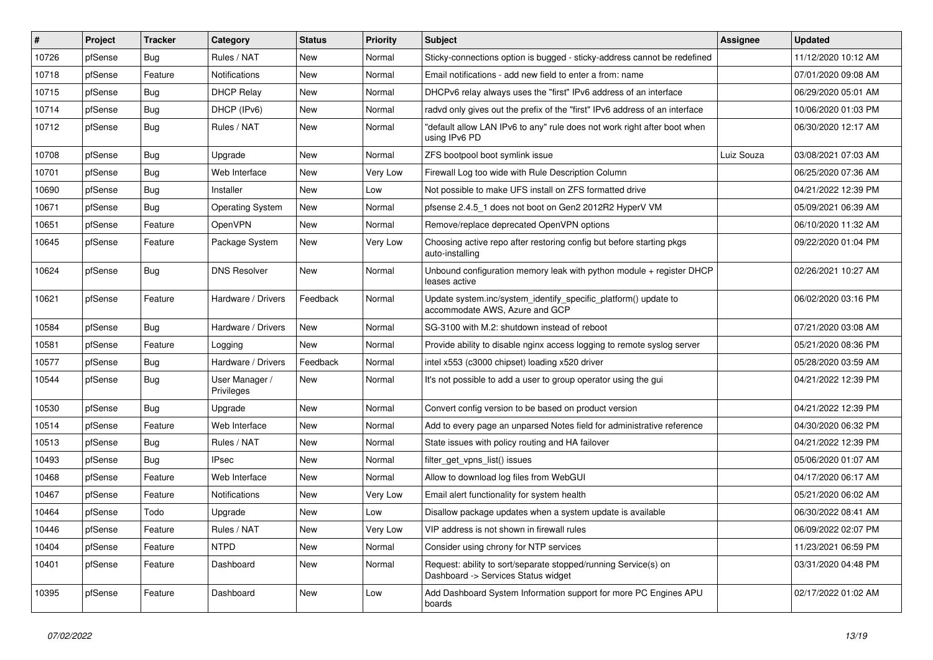| #     | Project | <b>Tracker</b> | Category                     | <b>Status</b> | <b>Priority</b> | Subject                                                                                                | <b>Assignee</b> | <b>Updated</b>      |
|-------|---------|----------------|------------------------------|---------------|-----------------|--------------------------------------------------------------------------------------------------------|-----------------|---------------------|
| 10726 | pfSense | Bug            | Rules / NAT                  | New           | Normal          | Sticky-connections option is bugged - sticky-address cannot be redefined                               |                 | 11/12/2020 10:12 AM |
| 10718 | pfSense | Feature        | Notifications                | <b>New</b>    | Normal          | Email notifications - add new field to enter a from: name                                              |                 | 07/01/2020 09:08 AM |
| 10715 | pfSense | Bug            | <b>DHCP Relay</b>            | <b>New</b>    | Normal          | DHCPv6 relay always uses the "first" IPv6 address of an interface                                      |                 | 06/29/2020 05:01 AM |
| 10714 | pfSense | <b>Bug</b>     | DHCP (IPv6)                  | <b>New</b>    | Normal          | radyd only gives out the prefix of the "first" IPv6 address of an interface                            |                 | 10/06/2020 01:03 PM |
| 10712 | pfSense | Bug            | Rules / NAT                  | <b>New</b>    | Normal          | "default allow LAN IPv6 to any" rule does not work right after boot when<br>using IPv6 PD              |                 | 06/30/2020 12:17 AM |
| 10708 | pfSense | <b>Bug</b>     | Upgrade                      | <b>New</b>    | Normal          | ZFS bootpool boot symlink issue                                                                        | Luiz Souza      | 03/08/2021 07:03 AM |
| 10701 | pfSense | <b>Bug</b>     | Web Interface                | <b>New</b>    | Very Low        | Firewall Log too wide with Rule Description Column                                                     |                 | 06/25/2020 07:36 AM |
| 10690 | pfSense | <b>Bug</b>     | Installer                    | <b>New</b>    | Low             | Not possible to make UFS install on ZFS formatted drive                                                |                 | 04/21/2022 12:39 PM |
| 10671 | pfSense | <b>Bug</b>     | <b>Operating System</b>      | New           | Normal          | pfsense 2.4.5_1 does not boot on Gen2 2012R2 HyperV VM                                                 |                 | 05/09/2021 06:39 AM |
| 10651 | pfSense | Feature        | OpenVPN                      | New           | Normal          | Remove/replace deprecated OpenVPN options                                                              |                 | 06/10/2020 11:32 AM |
| 10645 | pfSense | Feature        | Package System               | New           | Very Low        | Choosing active repo after restoring config but before starting pkgs<br>auto-installing                |                 | 09/22/2020 01:04 PM |
| 10624 | pfSense | Bug            | <b>DNS Resolver</b>          | <b>New</b>    | Normal          | Unbound configuration memory leak with python module + register DHCP<br>leases active                  |                 | 02/26/2021 10:27 AM |
| 10621 | pfSense | Feature        | Hardware / Drivers           | Feedback      | Normal          | Update system.inc/system_identify_specific_platform() update to<br>accommodate AWS. Azure and GCP      |                 | 06/02/2020 03:16 PM |
| 10584 | pfSense | Bug            | Hardware / Drivers           | New           | Normal          | SG-3100 with M.2: shutdown instead of reboot                                                           |                 | 07/21/2020 03:08 AM |
| 10581 | pfSense | Feature        | Logging                      | New           | Normal          | Provide ability to disable nginx access logging to remote syslog server                                |                 | 05/21/2020 08:36 PM |
| 10577 | pfSense | <b>Bug</b>     | Hardware / Drivers           | Feedback      | Normal          | intel x553 (c3000 chipset) loading x520 driver                                                         |                 | 05/28/2020 03:59 AM |
| 10544 | pfSense | <b>Bug</b>     | User Manager /<br>Privileges | New           | Normal          | It's not possible to add a user to group operator using the gui                                        |                 | 04/21/2022 12:39 PM |
| 10530 | pfSense | <b>Bug</b>     | Upgrade                      | <b>New</b>    | Normal          | Convert config version to be based on product version                                                  |                 | 04/21/2022 12:39 PM |
| 10514 | pfSense | Feature        | Web Interface                | <b>New</b>    | Normal          | Add to every page an unparsed Notes field for administrative reference                                 |                 | 04/30/2020 06:32 PM |
| 10513 | pfSense | <b>Bug</b>     | Rules / NAT                  | New           | Normal          | State issues with policy routing and HA failover                                                       |                 | 04/21/2022 12:39 PM |
| 10493 | pfSense | <b>Bug</b>     | <b>IPsec</b>                 | New           | Normal          | filter_get_vpns_list() issues                                                                          |                 | 05/06/2020 01:07 AM |
| 10468 | pfSense | Feature        | Web Interface                | New           | Normal          | Allow to download log files from WebGUI                                                                |                 | 04/17/2020 06:17 AM |
| 10467 | pfSense | Feature        | Notifications                | <b>New</b>    | Very Low        | Email alert functionality for system health                                                            |                 | 05/21/2020 06:02 AM |
| 10464 | pfSense | Todo           | Upgrade                      | New           | Low             | Disallow package updates when a system update is available                                             |                 | 06/30/2022 08:41 AM |
| 10446 | pfSense | Feature        | Rules / NAT                  | New           | Very Low        | VIP address is not shown in firewall rules                                                             |                 | 06/09/2022 02:07 PM |
| 10404 | pfSense | Feature        | <b>NTPD</b>                  | New           | Normal          | Consider using chrony for NTP services                                                                 |                 | 11/23/2021 06:59 PM |
| 10401 | pfSense | Feature        | Dashboard                    | New           | Normal          | Request: ability to sort/separate stopped/running Service(s) on<br>Dashboard -> Services Status widget |                 | 03/31/2020 04:48 PM |
| 10395 | pfSense | Feature        | Dashboard                    | New           | Low             | Add Dashboard System Information support for more PC Engines APU<br>boards                             |                 | 02/17/2022 01:02 AM |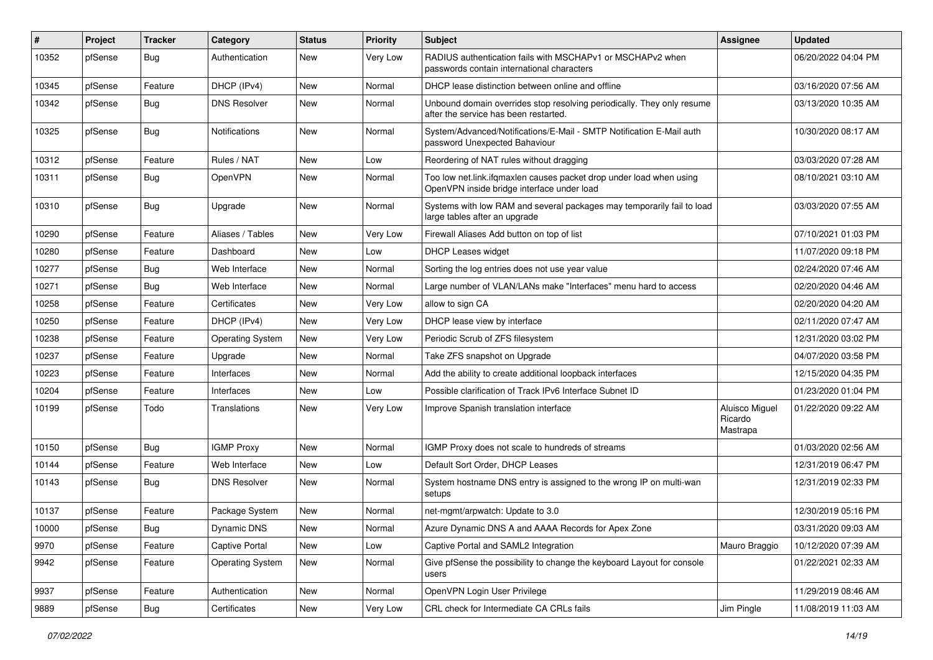| #     | Project | <b>Tracker</b> | Category                | <b>Status</b> | <b>Priority</b> | <b>Subject</b>                                                                                                    | Assignee                              | <b>Updated</b>      |
|-------|---------|----------------|-------------------------|---------------|-----------------|-------------------------------------------------------------------------------------------------------------------|---------------------------------------|---------------------|
| 10352 | pfSense | Bug            | Authentication          | <b>New</b>    | Very Low        | RADIUS authentication fails with MSCHAPv1 or MSCHAPv2 when<br>passwords contain international characters          |                                       | 06/20/2022 04:04 PM |
| 10345 | pfSense | Feature        | DHCP (IPv4)             | New           | Normal          | DHCP lease distinction between online and offline                                                                 |                                       | 03/16/2020 07:56 AM |
| 10342 | pfSense | Bug            | <b>DNS Resolver</b>     | New           | Normal          | Unbound domain overrides stop resolving periodically. They only resume<br>after the service has been restarted.   |                                       | 03/13/2020 10:35 AM |
| 10325 | pfSense | Bug            | Notifications           | <b>New</b>    | Normal          | System/Advanced/Notifications/E-Mail - SMTP Notification E-Mail auth<br>password Unexpected Bahaviour             |                                       | 10/30/2020 08:17 AM |
| 10312 | pfSense | Feature        | Rules / NAT             | <b>New</b>    | Low             | Reordering of NAT rules without dragging                                                                          |                                       | 03/03/2020 07:28 AM |
| 10311 | pfSense | Bug            | <b>OpenVPN</b>          | New           | Normal          | Too low net link ifgmaxlen causes packet drop under load when using<br>OpenVPN inside bridge interface under load |                                       | 08/10/2021 03:10 AM |
| 10310 | pfSense | Bug            | Upgrade                 | New           | Normal          | Systems with low RAM and several packages may temporarily fail to load<br>large tables after an upgrade           |                                       | 03/03/2020 07:55 AM |
| 10290 | pfSense | Feature        | Aliases / Tables        | <b>New</b>    | Very Low        | Firewall Aliases Add button on top of list                                                                        |                                       | 07/10/2021 01:03 PM |
| 10280 | pfSense | Feature        | Dashboard               | New           | Low             | <b>DHCP Leases widget</b>                                                                                         |                                       | 11/07/2020 09:18 PM |
| 10277 | pfSense | <b>Bug</b>     | Web Interface           | <b>New</b>    | Normal          | Sorting the log entries does not use year value                                                                   |                                       | 02/24/2020 07:46 AM |
| 10271 | pfSense | <b>Bug</b>     | Web Interface           | <b>New</b>    | Normal          | Large number of VLAN/LANs make "Interfaces" menu hard to access                                                   |                                       | 02/20/2020 04:46 AM |
| 10258 | pfSense | Feature        | Certificates            | New           | Very Low        | allow to sign CA                                                                                                  |                                       | 02/20/2020 04:20 AM |
| 10250 | pfSense | Feature        | DHCP (IPv4)             | <b>New</b>    | Very Low        | DHCP lease view by interface                                                                                      |                                       | 02/11/2020 07:47 AM |
| 10238 | pfSense | Feature        | <b>Operating System</b> | New           | Very Low        | Periodic Scrub of ZFS filesystem                                                                                  |                                       | 12/31/2020 03:02 PM |
| 10237 | pfSense | Feature        | Upgrade                 | New           | Normal          | Take ZFS snapshot on Upgrade                                                                                      |                                       | 04/07/2020 03:58 PM |
| 10223 | pfSense | Feature        | Interfaces              | <b>New</b>    | Normal          | Add the ability to create additional loopback interfaces                                                          |                                       | 12/15/2020 04:35 PM |
| 10204 | pfSense | Feature        | Interfaces              | <b>New</b>    | Low             | Possible clarification of Track IPv6 Interface Subnet ID                                                          |                                       | 01/23/2020 01:04 PM |
| 10199 | pfSense | Todo           | Translations            | New           | Very Low        | Improve Spanish translation interface                                                                             | Aluisco Miguel<br>Ricardo<br>Mastrapa | 01/22/2020 09:22 AM |
| 10150 | pfSense | Bug            | <b>IGMP Proxy</b>       | <b>New</b>    | Normal          | IGMP Proxy does not scale to hundreds of streams                                                                  |                                       | 01/03/2020 02:56 AM |
| 10144 | pfSense | Feature        | Web Interface           | New           | Low             | Default Sort Order, DHCP Leases                                                                                   |                                       | 12/31/2019 06:47 PM |
| 10143 | pfSense | Bug            | <b>DNS Resolver</b>     | New           | Normal          | System hostname DNS entry is assigned to the wrong IP on multi-wan<br>setups                                      |                                       | 12/31/2019 02:33 PM |
| 10137 | pfSense | Feature        | Package System          | New           | Normal          | net-mgmt/arpwatch: Update to 3.0                                                                                  |                                       | 12/30/2019 05:16 PM |
| 10000 | pfSense | Bug            | Dynamic DNS             | New           | Normal          | Azure Dynamic DNS A and AAAA Records for Apex Zone                                                                |                                       | 03/31/2020 09:03 AM |
| 9970  | pfSense | Feature        | Captive Portal          | New           | Low             | Captive Portal and SAML2 Integration                                                                              | Mauro Braggio                         | 10/12/2020 07:39 AM |
| 9942  | pfSense | Feature        | <b>Operating System</b> | New           | Normal          | Give pfSense the possibility to change the keyboard Layout for console<br>users                                   |                                       | 01/22/2021 02:33 AM |
| 9937  | pfSense | Feature        | Authentication          | New           | Normal          | OpenVPN Login User Privilege                                                                                      |                                       | 11/29/2019 08:46 AM |
| 9889  | pfSense | Bug            | Certificates            | New           | Very Low        | CRL check for Intermediate CA CRLs fails                                                                          | Jim Pingle                            | 11/08/2019 11:03 AM |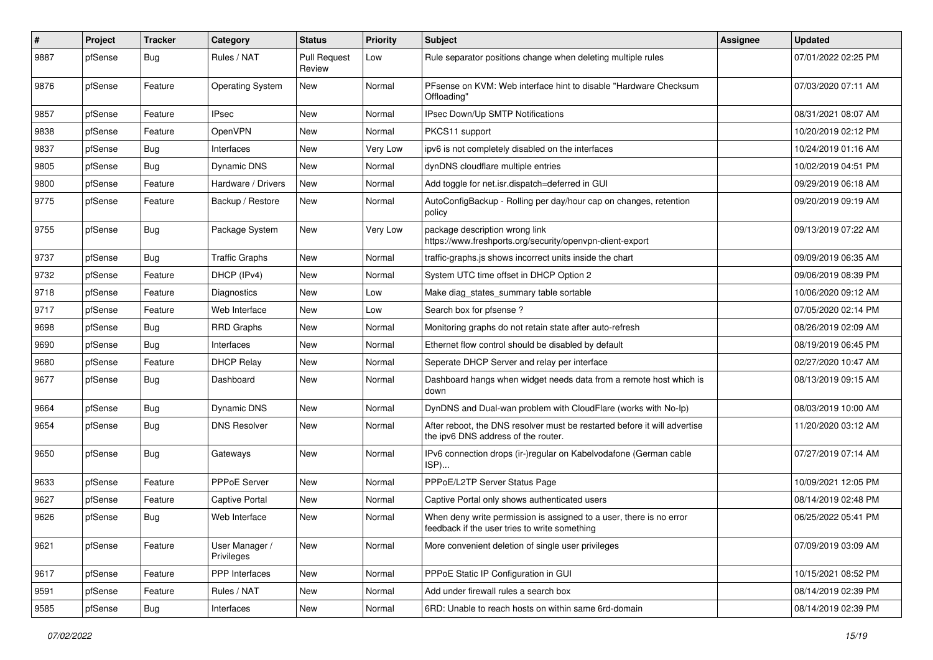| $\vert$ # | Project | <b>Tracker</b> | Category                     | <b>Status</b>                 | <b>Priority</b> | <b>Subject</b>                                                                                                       | <b>Assignee</b> | <b>Updated</b>      |
|-----------|---------|----------------|------------------------------|-------------------------------|-----------------|----------------------------------------------------------------------------------------------------------------------|-----------------|---------------------|
| 9887      | pfSense | Bug            | Rules / NAT                  | <b>Pull Request</b><br>Review | Low             | Rule separator positions change when deleting multiple rules                                                         |                 | 07/01/2022 02:25 PM |
| 9876      | pfSense | Feature        | <b>Operating System</b>      | New                           | Normal          | PFsense on KVM: Web interface hint to disable "Hardware Checksum"<br>Offloading'                                     |                 | 07/03/2020 07:11 AM |
| 9857      | pfSense | Feature        | <b>IPsec</b>                 | <b>New</b>                    | Normal          | IPsec Down/Up SMTP Notifications                                                                                     |                 | 08/31/2021 08:07 AM |
| 9838      | pfSense | Feature        | <b>OpenVPN</b>               | New                           | Normal          | PKCS11 support                                                                                                       |                 | 10/20/2019 02:12 PM |
| 9837      | pfSense | <b>Bug</b>     | Interfaces                   | New                           | Very Low        | ipv6 is not completely disabled on the interfaces                                                                    |                 | 10/24/2019 01:16 AM |
| 9805      | pfSense | <b>Bug</b>     | <b>Dynamic DNS</b>           | <b>New</b>                    | Normal          | dynDNS cloudflare multiple entries                                                                                   |                 | 10/02/2019 04:51 PM |
| 9800      | pfSense | Feature        | Hardware / Drivers           | <b>New</b>                    | Normal          | Add toggle for net.isr.dispatch=deferred in GUI                                                                      |                 | 09/29/2019 06:18 AM |
| 9775      | pfSense | Feature        | Backup / Restore             | New                           | Normal          | AutoConfigBackup - Rolling per day/hour cap on changes, retention<br>policy                                          |                 | 09/20/2019 09:19 AM |
| 9755      | pfSense | <b>Bug</b>     | Package System               | New                           | Very Low        | package description wrong link<br>https://www.freshports.org/security/openvpn-client-export                          |                 | 09/13/2019 07:22 AM |
| 9737      | pfSense | Bug            | <b>Traffic Graphs</b>        | New                           | Normal          | traffic-graphs.js shows incorrect units inside the chart                                                             |                 | 09/09/2019 06:35 AM |
| 9732      | pfSense | Feature        | DHCP (IPv4)                  | New                           | Normal          | System UTC time offset in DHCP Option 2                                                                              |                 | 09/06/2019 08:39 PM |
| 9718      | pfSense | Feature        | Diagnostics                  | <b>New</b>                    | Low             | Make diag_states_summary table sortable                                                                              |                 | 10/06/2020 09:12 AM |
| 9717      | pfSense | Feature        | Web Interface                | <b>New</b>                    | Low             | Search box for pfsense?                                                                                              |                 | 07/05/2020 02:14 PM |
| 9698      | pfSense | <b>Bug</b>     | <b>RRD Graphs</b>            | New                           | Normal          | Monitoring graphs do not retain state after auto-refresh                                                             |                 | 08/26/2019 02:09 AM |
| 9690      | pfSense | Bug            | Interfaces                   | New                           | Normal          | Ethernet flow control should be disabled by default                                                                  |                 | 08/19/2019 06:45 PM |
| 9680      | pfSense | Feature        | <b>DHCP Relay</b>            | <b>New</b>                    | Normal          | Seperate DHCP Server and relay per interface                                                                         |                 | 02/27/2020 10:47 AM |
| 9677      | pfSense | <b>Bug</b>     | Dashboard                    | <b>New</b>                    | Normal          | Dashboard hangs when widget needs data from a remote host which is<br>down                                           |                 | 08/13/2019 09:15 AM |
| 9664      | pfSense | <b>Bug</b>     | Dynamic DNS                  | <b>New</b>                    | Normal          | DynDNS and Dual-wan problem with CloudFlare (works with No-Ip)                                                       |                 | 08/03/2019 10:00 AM |
| 9654      | pfSense | <b>Bug</b>     | <b>DNS Resolver</b>          | <b>New</b>                    | Normal          | After reboot, the DNS resolver must be restarted before it will advertise<br>the ipv6 DNS address of the router.     |                 | 11/20/2020 03:12 AM |
| 9650      | pfSense | <b>Bug</b>     | Gateways                     | <b>New</b>                    | Normal          | IPv6 connection drops (ir-)regular on Kabelvodafone (German cable<br>ISP)                                            |                 | 07/27/2019 07:14 AM |
| 9633      | pfSense | Feature        | PPPoE Server                 | New                           | Normal          | PPPoE/L2TP Server Status Page                                                                                        |                 | 10/09/2021 12:05 PM |
| 9627      | pfSense | Feature        | Captive Portal               | New                           | Normal          | Captive Portal only shows authenticated users                                                                        |                 | 08/14/2019 02:48 PM |
| 9626      | pfSense | <b>Bug</b>     | Web Interface                | <b>New</b>                    | Normal          | When deny write permission is assigned to a user, there is no error<br>feedback if the user tries to write something |                 | 06/25/2022 05:41 PM |
| 9621      | pfSense | Feature        | User Manager /<br>Privileges | New                           | Normal          | More convenient deletion of single user privileges                                                                   |                 | 07/09/2019 03:09 AM |
| 9617      | pfSense | Feature        | PPP Interfaces               | New                           | Normal          | PPPoE Static IP Configuration in GUI                                                                                 |                 | 10/15/2021 08:52 PM |
| 9591      | pfSense | Feature        | Rules / NAT                  | New                           | Normal          | Add under firewall rules a search box                                                                                |                 | 08/14/2019 02:39 PM |
| 9585      | pfSense | Bug            | Interfaces                   | New                           | Normal          | 6RD: Unable to reach hosts on within same 6rd-domain                                                                 |                 | 08/14/2019 02:39 PM |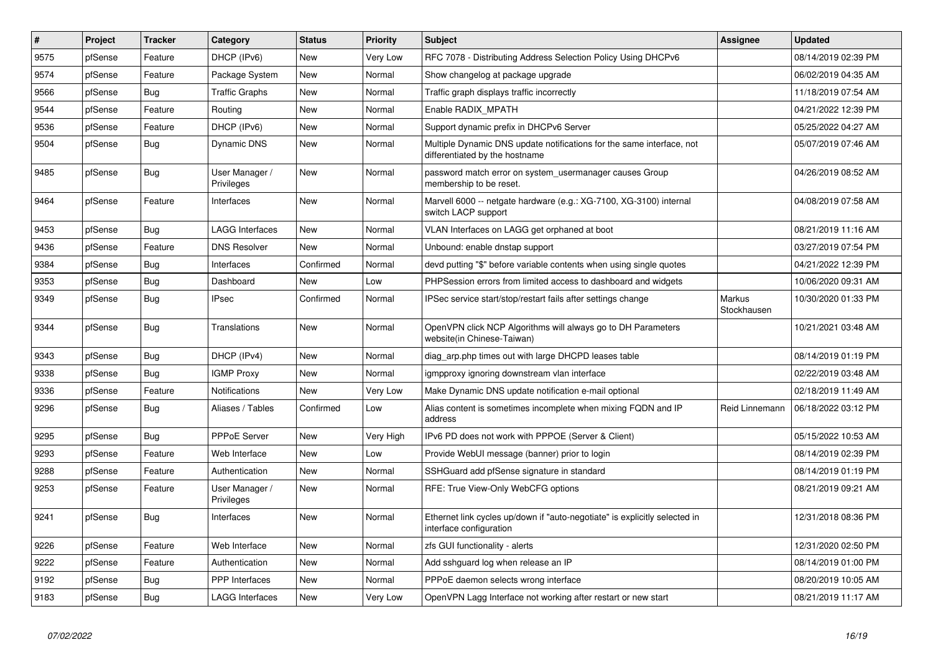| $\sharp$ | Project | <b>Tracker</b> | Category                     | <b>Status</b> | <b>Priority</b> | <b>Subject</b>                                                                                          | <b>Assignee</b>       | <b>Updated</b>      |
|----------|---------|----------------|------------------------------|---------------|-----------------|---------------------------------------------------------------------------------------------------------|-----------------------|---------------------|
| 9575     | pfSense | Feature        | DHCP (IPv6)                  | <b>New</b>    | Very Low        | RFC 7078 - Distributing Address Selection Policy Using DHCPv6                                           |                       | 08/14/2019 02:39 PM |
| 9574     | pfSense | Feature        | Package System               | New           | Normal          | Show changelog at package upgrade                                                                       |                       | 06/02/2019 04:35 AM |
| 9566     | pfSense | <b>Bug</b>     | <b>Traffic Graphs</b>        | New           | Normal          | Traffic graph displays traffic incorrectly                                                              |                       | 11/18/2019 07:54 AM |
| 9544     | pfSense | Feature        | Routing                      | <b>New</b>    | Normal          | Enable RADIX MPATH                                                                                      |                       | 04/21/2022 12:39 PM |
| 9536     | pfSense | Feature        | DHCP (IPv6)                  | New           | Normal          | Support dynamic prefix in DHCPv6 Server                                                                 |                       | 05/25/2022 04:27 AM |
| 9504     | pfSense | Bug            | Dynamic DNS                  | New           | Normal          | Multiple Dynamic DNS update notifications for the same interface, not<br>differentiated by the hostname |                       | 05/07/2019 07:46 AM |
| 9485     | pfSense | <b>Bug</b>     | User Manager /<br>Privileges | <b>New</b>    | Normal          | password match error on system usermanager causes Group<br>membership to be reset.                      |                       | 04/26/2019 08:52 AM |
| 9464     | pfSense | Feature        | Interfaces                   | New           | Normal          | Marvell 6000 -- netgate hardware (e.g.: XG-7100, XG-3100) internal<br>switch LACP support               |                       | 04/08/2019 07:58 AM |
| 9453     | pfSense | Bug            | LAGG Interfaces              | New           | Normal          | VLAN Interfaces on LAGG get orphaned at boot                                                            |                       | 08/21/2019 11:16 AM |
| 9436     | pfSense | Feature        | <b>DNS Resolver</b>          | New           | Normal          | Unbound: enable dnstap support                                                                          |                       | 03/27/2019 07:54 PM |
| 9384     | pfSense | Bug            | Interfaces                   | Confirmed     | Normal          | devd putting "\$" before variable contents when using single quotes                                     |                       | 04/21/2022 12:39 PM |
| 9353     | pfSense | <b>Bug</b>     | Dashboard                    | <b>New</b>    | Low             | PHPSession errors from limited access to dashboard and widgets                                          |                       | 10/06/2020 09:31 AM |
| 9349     | pfSense | <b>Bug</b>     | <b>IPsec</b>                 | Confirmed     | Normal          | IPSec service start/stop/restart fails after settings change                                            | Markus<br>Stockhausen | 10/30/2020 01:33 PM |
| 9344     | pfSense | Bug            | Translations                 | New           | Normal          | OpenVPN click NCP Algorithms will always go to DH Parameters<br>website(in Chinese-Taiwan)              |                       | 10/21/2021 03:48 AM |
| 9343     | pfSense | <b>Bug</b>     | DHCP (IPv4)                  | <b>New</b>    | Normal          | diag_arp.php times out with large DHCPD leases table                                                    |                       | 08/14/2019 01:19 PM |
| 9338     | pfSense | Bug            | <b>IGMP Proxy</b>            | New           | Normal          | igmpproxy ignoring downstream vlan interface                                                            |                       | 02/22/2019 03:48 AM |
| 9336     | pfSense | Feature        | Notifications                | New           | Very Low        | Make Dynamic DNS update notification e-mail optional                                                    |                       | 02/18/2019 11:49 AM |
| 9296     | pfSense | <b>Bug</b>     | Aliases / Tables             | Confirmed     | Low             | Alias content is sometimes incomplete when mixing FQDN and IP<br>address                                | Reid Linnemann        | 06/18/2022 03:12 PM |
| 9295     | pfSense | Bug            | <b>PPPoE Server</b>          | <b>New</b>    | Very High       | IPv6 PD does not work with PPPOE (Server & Client)                                                      |                       | 05/15/2022 10:53 AM |
| 9293     | pfSense | Feature        | Web Interface                | <b>New</b>    | Low             | Provide WebUI message (banner) prior to login                                                           |                       | 08/14/2019 02:39 PM |
| 9288     | pfSense | Feature        | Authentication               | <b>New</b>    | Normal          | SSHGuard add pfSense signature in standard                                                              |                       | 08/14/2019 01:19 PM |
| 9253     | pfSense | Feature        | User Manager /<br>Privileges | <b>New</b>    | Normal          | RFE: True View-Only WebCFG options                                                                      |                       | 08/21/2019 09:21 AM |
| 9241     | pfSense | <b>Bug</b>     | Interfaces                   | <b>New</b>    | Normal          | Ethernet link cycles up/down if "auto-negotiate" is explicitly selected in<br>interface configuration   |                       | 12/31/2018 08:36 PM |
| 9226     | pfSense | Feature        | Web Interface                | <b>New</b>    | Normal          | zfs GUI functionality - alerts                                                                          |                       | 12/31/2020 02:50 PM |
| 9222     | pfSense | Feature        | Authentication               | New           | Normal          | Add sshguard log when release an IP                                                                     |                       | 08/14/2019 01:00 PM |
| 9192     | pfSense | <b>Bug</b>     | PPP Interfaces               | New           | Normal          | PPPoE daemon selects wrong interface                                                                    |                       | 08/20/2019 10:05 AM |
| 9183     | pfSense | <b>Bug</b>     | <b>LAGG Interfaces</b>       | <b>New</b>    | Very Low        | OpenVPN Lagg Interface not working after restart or new start                                           |                       | 08/21/2019 11:17 AM |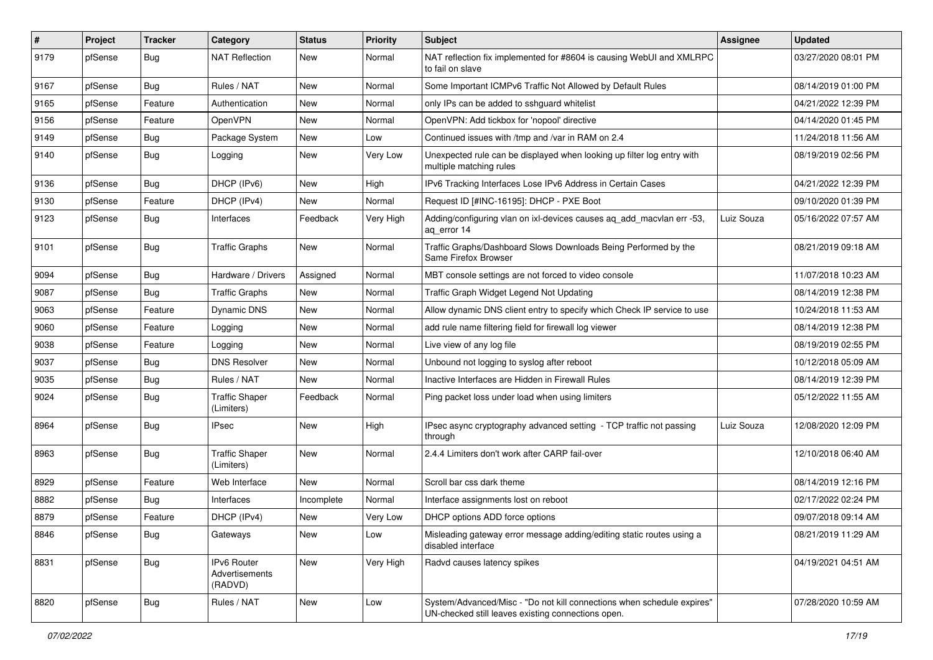| $\pmb{\#}$ | Project | <b>Tracker</b> | Category                                        | <b>Status</b> | <b>Priority</b> | <b>Subject</b>                                                                                                               | <b>Assignee</b> | <b>Updated</b>      |
|------------|---------|----------------|-------------------------------------------------|---------------|-----------------|------------------------------------------------------------------------------------------------------------------------------|-----------------|---------------------|
| 9179       | pfSense | <b>Bug</b>     | <b>NAT Reflection</b>                           | New           | Normal          | NAT reflection fix implemented for #8604 is causing WebUI and XMLRPC<br>to fail on slave                                     |                 | 03/27/2020 08:01 PM |
| 9167       | pfSense | Bug            | Rules / NAT                                     | New           | Normal          | Some Important ICMPv6 Traffic Not Allowed by Default Rules                                                                   |                 | 08/14/2019 01:00 PM |
| 9165       | pfSense | Feature        | Authentication                                  | New           | Normal          | only IPs can be added to sshquard whitelist                                                                                  |                 | 04/21/2022 12:39 PM |
| 9156       | pfSense | Feature        | OpenVPN                                         | <b>New</b>    | Normal          | OpenVPN: Add tickbox for 'nopool' directive                                                                                  |                 | 04/14/2020 01:45 PM |
| 9149       | pfSense | <b>Bug</b>     | Package System                                  | New           | Low             | Continued issues with /tmp and /var in RAM on 2.4                                                                            |                 | 11/24/2018 11:56 AM |
| 9140       | pfSense | <b>Bug</b>     | Logging                                         | New           | Very Low        | Unexpected rule can be displayed when looking up filter log entry with<br>multiple matching rules                            |                 | 08/19/2019 02:56 PM |
| 9136       | pfSense | Bug            | DHCP (IPv6)                                     | <b>New</b>    | High            | IPv6 Tracking Interfaces Lose IPv6 Address in Certain Cases                                                                  |                 | 04/21/2022 12:39 PM |
| 9130       | pfSense | Feature        | DHCP (IPv4)                                     | <b>New</b>    | Normal          | Request ID [#INC-16195]: DHCP - PXE Boot                                                                                     |                 | 09/10/2020 01:39 PM |
| 9123       | pfSense | Bug            | Interfaces                                      | Feedback      | Very High       | Adding/configuring vlan on ixi-devices causes ag add macvian err -53,<br>aq_error 14                                         | Luiz Souza      | 05/16/2022 07:57 AM |
| 9101       | pfSense | Bug            | <b>Traffic Graphs</b>                           | New           | Normal          | Traffic Graphs/Dashboard Slows Downloads Being Performed by the<br>Same Firefox Browser                                      |                 | 08/21/2019 09:18 AM |
| 9094       | pfSense | Bug            | Hardware / Drivers                              | Assigned      | Normal          | MBT console settings are not forced to video console                                                                         |                 | 11/07/2018 10:23 AM |
| 9087       | pfSense | Bug            | <b>Traffic Graphs</b>                           | <b>New</b>    | Normal          | Traffic Graph Widget Legend Not Updating                                                                                     |                 | 08/14/2019 12:38 PM |
| 9063       | pfSense | Feature        | <b>Dynamic DNS</b>                              | New           | Normal          | Allow dynamic DNS client entry to specify which Check IP service to use                                                      |                 | 10/24/2018 11:53 AM |
| 9060       | pfSense | Feature        | Logging                                         | New           | Normal          | add rule name filtering field for firewall log viewer                                                                        |                 | 08/14/2019 12:38 PM |
| 9038       | pfSense | Feature        | Logging                                         | New           | Normal          | Live view of any log file                                                                                                    |                 | 08/19/2019 02:55 PM |
| 9037       | pfSense | <b>Bug</b>     | <b>DNS Resolver</b>                             | <b>New</b>    | Normal          | Unbound not logging to syslog after reboot                                                                                   |                 | 10/12/2018 05:09 AM |
| 9035       | pfSense | <b>Bug</b>     | Rules / NAT                                     | <b>New</b>    | Normal          | Inactive Interfaces are Hidden in Firewall Rules                                                                             |                 | 08/14/2019 12:39 PM |
| 9024       | pfSense | <b>Bug</b>     | <b>Traffic Shaper</b><br>(Limiters)             | Feedback      | Normal          | Ping packet loss under load when using limiters                                                                              |                 | 05/12/2022 11:55 AM |
| 8964       | pfSense | Bug            | IPsec                                           | New           | High            | IPsec async cryptography advanced setting - TCP traffic not passing<br>through                                               | Luiz Souza      | 12/08/2020 12:09 PM |
| 8963       | pfSense | <b>Bug</b>     | <b>Traffic Shaper</b><br>(Limiters)             | New           | Normal          | 2.4.4 Limiters don't work after CARP fail-over                                                                               |                 | 12/10/2018 06:40 AM |
| 8929       | pfSense | Feature        | Web Interface                                   | New           | Normal          | Scroll bar css dark theme                                                                                                    |                 | 08/14/2019 12:16 PM |
| 8882       | pfSense | <b>Bug</b>     | Interfaces                                      | Incomplete    | Normal          | Interface assignments lost on reboot                                                                                         |                 | 02/17/2022 02:24 PM |
| 8879       | pfSense | Feature        | DHCP (IPv4)                                     | New           | Very Low        | DHCP options ADD force options                                                                                               |                 | 09/07/2018 09:14 AM |
| 8846       | pfSense | <b>Bug</b>     | Gateways                                        | New           | Low             | Misleading gateway error message adding/editing static routes using a<br>disabled interface                                  |                 | 08/21/2019 11:29 AM |
| 8831       | pfSense | <b>Bug</b>     | <b>IPv6 Router</b><br>Advertisements<br>(RADVD) | New           | Very High       | Radvd causes latency spikes                                                                                                  |                 | 04/19/2021 04:51 AM |
| 8820       | pfSense | <b>Bug</b>     | Rules / NAT                                     | New           | Low             | System/Advanced/Misc - "Do not kill connections when schedule expires"<br>UN-checked still leaves existing connections open. |                 | 07/28/2020 10:59 AM |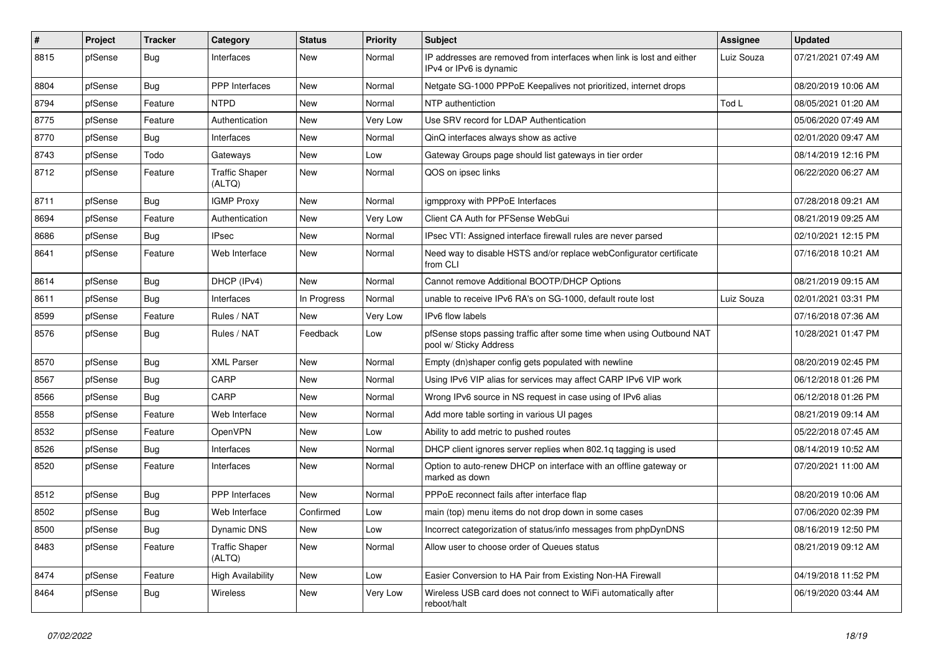| #    | Project | <b>Tracker</b> | Category                        | <b>Status</b> | <b>Priority</b> | Subject                                                                                          | <b>Assignee</b> | <b>Updated</b>      |
|------|---------|----------------|---------------------------------|---------------|-----------------|--------------------------------------------------------------------------------------------------|-----------------|---------------------|
| 8815 | pfSense | <b>Bug</b>     | Interfaces                      | New           | Normal          | IP addresses are removed from interfaces when link is lost and either<br>IPv4 or IPv6 is dynamic | Luiz Souza      | 07/21/2021 07:49 AM |
| 8804 | pfSense | Bug            | PPP Interfaces                  | New           | Normal          | Netgate SG-1000 PPPoE Keepalives not prioritized, internet drops                                 |                 | 08/20/2019 10:06 AM |
| 8794 | pfSense | Feature        | <b>NTPD</b>                     | New           | Normal          | NTP authentiction                                                                                | Tod L           | 08/05/2021 01:20 AM |
| 8775 | pfSense | Feature        | Authentication                  | New           | Very Low        | Use SRV record for LDAP Authentication                                                           |                 | 05/06/2020 07:49 AM |
| 8770 | pfSense | <b>Bug</b>     | Interfaces                      | New           | Normal          | QinQ interfaces always show as active                                                            |                 | 02/01/2020 09:47 AM |
| 8743 | pfSense | Todo           | Gateways                        | New           | Low             | Gateway Groups page should list gateways in tier order                                           |                 | 08/14/2019 12:16 PM |
| 8712 | pfSense | Feature        | <b>Traffic Shaper</b><br>(ALTQ) | New           | Normal          | QOS on ipsec links                                                                               |                 | 06/22/2020 06:27 AM |
| 8711 | pfSense | <b>Bug</b>     | <b>IGMP Proxy</b>               | <b>New</b>    | Normal          | igmpproxy with PPPoE Interfaces                                                                  |                 | 07/28/2018 09:21 AM |
| 8694 | pfSense | Feature        | Authentication                  | New           | Very Low        | Client CA Auth for PFSense WebGui                                                                |                 | 08/21/2019 09:25 AM |
| 8686 | pfSense | <b>Bug</b>     | <b>IPsec</b>                    | New           | Normal          | IPsec VTI: Assigned interface firewall rules are never parsed                                    |                 | 02/10/2021 12:15 PM |
| 8641 | pfSense | Feature        | Web Interface                   | New           | Normal          | Need way to disable HSTS and/or replace webConfigurator certificate<br>from CLI                  |                 | 07/16/2018 10:21 AM |
| 8614 | pfSense | Bug            | DHCP (IPv4)                     | New           | Normal          | Cannot remove Additional BOOTP/DHCP Options                                                      |                 | 08/21/2019 09:15 AM |
| 8611 | pfSense | <b>Bug</b>     | Interfaces                      | In Progress   | Normal          | unable to receive IPv6 RA's on SG-1000, default route lost                                       | Luiz Souza      | 02/01/2021 03:31 PM |
| 8599 | pfSense | Feature        | Rules / NAT                     | New           | Very Low        | IPv6 flow labels                                                                                 |                 | 07/16/2018 07:36 AM |
| 8576 | pfSense | Bug            | Rules / NAT                     | Feedback      | Low             | pfSense stops passing traffic after some time when using Outbound NAT<br>pool w/ Sticky Address  |                 | 10/28/2021 01:47 PM |
| 8570 | pfSense | <b>Bug</b>     | <b>XML Parser</b>               | <b>New</b>    | Normal          | Empty (dn)shaper config gets populated with newline                                              |                 | 08/20/2019 02:45 PM |
| 8567 | pfSense | Bug            | CARP                            | <b>New</b>    | Normal          | Using IPv6 VIP alias for services may affect CARP IPv6 VIP work                                  |                 | 06/12/2018 01:26 PM |
| 8566 | pfSense | <b>Bug</b>     | CARP                            | <b>New</b>    | Normal          | Wrong IPv6 source in NS request in case using of IPv6 alias                                      |                 | 06/12/2018 01:26 PM |
| 8558 | pfSense | Feature        | Web Interface                   | New           | Normal          | Add more table sorting in various UI pages                                                       |                 | 08/21/2019 09:14 AM |
| 8532 | pfSense | Feature        | OpenVPN                         | New           | Low             | Ability to add metric to pushed routes                                                           |                 | 05/22/2018 07:45 AM |
| 8526 | pfSense | <b>Bug</b>     | Interfaces                      | New           | Normal          | DHCP client ignores server replies when 802.1g tagging is used                                   |                 | 08/14/2019 10:52 AM |
| 8520 | pfSense | Feature        | Interfaces                      | New           | Normal          | Option to auto-renew DHCP on interface with an offline gateway or<br>marked as down              |                 | 07/20/2021 11:00 AM |
| 8512 | pfSense | <b>Bug</b>     | <b>PPP</b> Interfaces           | <b>New</b>    | Normal          | PPPoE reconnect fails after interface flap                                                       |                 | 08/20/2019 10:06 AM |
| 8502 | pfSense | <b>Bug</b>     | Web Interface                   | Confirmed     | Low             | main (top) menu items do not drop down in some cases                                             |                 | 07/06/2020 02:39 PM |
| 8500 | pfSense | Bug            | Dynamic DNS                     | New           | Low             | Incorrect categorization of status/info messages from phpDynDNS                                  |                 | 08/16/2019 12:50 PM |
| 8483 | pfSense | Feature        | <b>Traffic Shaper</b><br>(ALTQ) | New           | Normal          | Allow user to choose order of Queues status                                                      |                 | 08/21/2019 09:12 AM |
| 8474 | pfSense | Feature        | <b>High Availability</b>        | New           | Low             | Easier Conversion to HA Pair from Existing Non-HA Firewall                                       |                 | 04/19/2018 11:52 PM |
| 8464 | pfSense | <b>Bug</b>     | Wireless                        | New           | Very Low        | Wireless USB card does not connect to WiFi automatically after<br>reboot/halt                    |                 | 06/19/2020 03:44 AM |